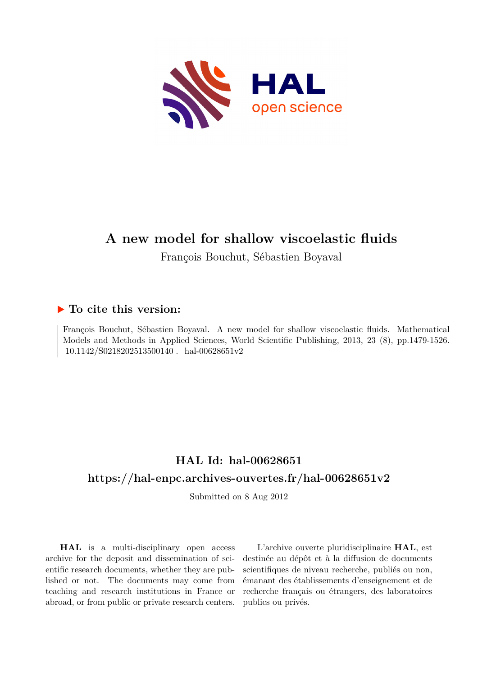

# **A new model for shallow viscoelastic fluids**

François Bouchut, Sébastien Boyaval

## **To cite this version:**

François Bouchut, Sébastien Boyaval. A new model for shallow viscoelastic fluids. Mathematical Models and Methods in Applied Sciences, World Scientific Publishing, 2013, 23 (8), pp.1479-1526.  $10.1142/S0218202513500140$ . hal-00628651v2

# **HAL Id: hal-00628651 <https://hal-enpc.archives-ouvertes.fr/hal-00628651v2>**

Submitted on 8 Aug 2012

**HAL** is a multi-disciplinary open access archive for the deposit and dissemination of scientific research documents, whether they are published or not. The documents may come from teaching and research institutions in France or abroad, or from public or private research centers.

L'archive ouverte pluridisciplinaire **HAL**, est destinée au dépôt et à la diffusion de documents scientifiques de niveau recherche, publiés ou non, émanant des établissements d'enseignement et de recherche français ou étrangers, des laboratoires publics ou privés.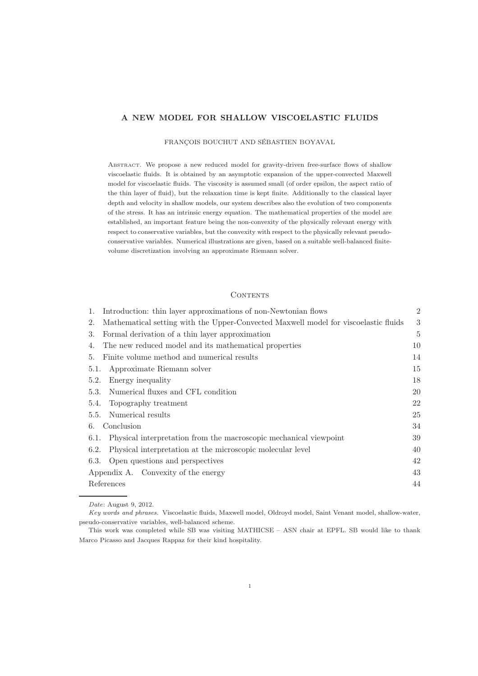#### A NEW MODEL FOR SHALLOW VISCOELASTIC FLUIDS

FRANÇOIS BOUCHUT AND SÉBASTIEN BOYAVAL

ABSTRACT. We propose a new reduced model for gravity-driven free-surface flows of shallow viscoelastic fluids. It is obtained by an asymptotic expansion of the upper-convected Maxwell model for viscoelastic fluids. The viscosity is assumed small (of order epsilon, the aspect ratio of the thin layer of fluid), but the relaxation time is kept finite. Additionally to the classical layer depth and velocity in shallow models, our system describes also the evolution of two components of the stress. It has an intrinsic energy equation. The mathematical properties of the model are established, an important feature being the non-convexity of the physically relevant energy with respect to conservative variables, but the convexity with respect to the physically relevant pseudoconservative variables. Numerical illustrations are given, based on a suitable well-balanced finitevolume discretization involving an approximate Riemann solver.

#### CONTENTS

| Introduction: thin layer approximations of non-Newtonian flows<br>1.                      | $\overline{2}$ |
|-------------------------------------------------------------------------------------------|----------------|
| Mathematical setting with the Upper-Convected Maxwell model for viscoelastic fluids<br>2. | 3              |
| Formal derivation of a thin layer approximation<br>3.                                     | 5              |
| The new reduced model and its mathematical properties<br>4.                               | 10             |
| Finite volume method and numerical results<br>5.                                          | 14             |
| Approximate Riemann solver<br>5.1.                                                        | 15             |
| Energy inequality<br>5.2.                                                                 | 18             |
| Numerical fluxes and CFL condition<br>5.3.                                                | 20             |
| Topography treatment<br>5.4.                                                              | 22             |
| Numerical results<br>5.5.                                                                 | 25             |
| Conclusion<br>6.                                                                          | 34             |
| Physical interpretation from the macroscopic mechanical viewpoint<br>6.1.                 | 39             |
| Physical interpretation at the microscopic molecular level<br>6.2.                        | 40             |
| Open questions and perspectives<br>6.3.                                                   | 42             |
| Appendix A. Convexity of the energy                                                       | 43             |
| References                                                                                | 44             |
|                                                                                           |                |

*Date*: August 9, 2012.

*Key words and phrases.* Viscoelastic fluids, Maxwell model, Oldroyd model, Saint Venant model, shallow-water, pseudo-conservative variables, well-balanced scheme.

This work was completed while SB was visiting MATHICSE – ASN chair at EPFL. SB would like to thank Marco Picasso and Jacques Rappaz for their kind hospitality.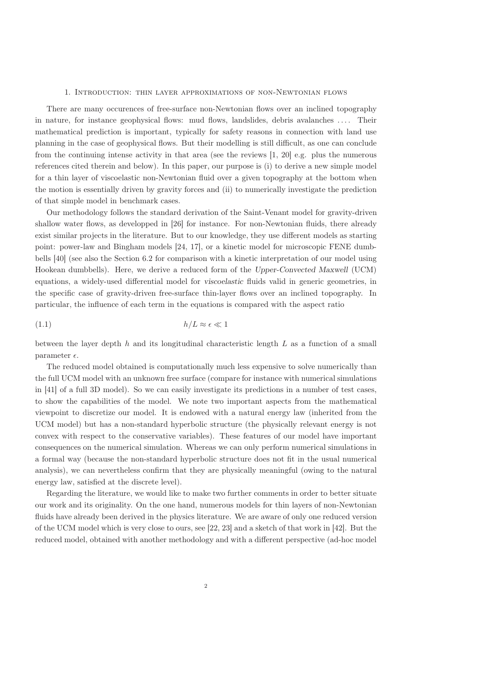#### 1. Introduction: thin layer approximations of non-Newtonian flows

There are many occurences of free-surface non-Newtonian flows over an inclined topography in nature, for instance geophysical flows: mud flows, landslides, debris avalanches .... Their mathematical prediction is important, typically for safety reasons in connection with land use planning in the case of geophysical flows. But their modelling is still difficult, as one can conclude from the continuing intense activity in that area (see the reviews [1, 20] e.g. plus the numerous references cited therein and below). In this paper, our purpose is (i) to derive a new simple model for a thin layer of viscoelastic non-Newtonian fluid over a given topography at the bottom when the motion is essentially driven by gravity forces and (ii) to numerically investigate the prediction of that simple model in benchmark cases.

Our methodology follows the standard derivation of the Saint-Venant model for gravity-driven shallow water flows, as developped in [26] for instance. For non-Newtonian fluids, there already exist similar projects in the literature. But to our knowledge, they use different models as starting point: power-law and Bingham models [24, 17], or a kinetic model for microscopic FENE dumbbells [40] (see also the Section 6.2 for comparison with a kinetic interpretation of our model using Hookean dumbbells). Here, we derive a reduced form of the Upper-Convected Maxwell (UCM) equations, a widely-used differential model for viscoelastic fluids valid in generic geometries, in the specific case of gravity-driven free-surface thin-layer flows over an inclined topography. In particular, the influence of each term in the equations is compared with the aspect ratio

$$
(1.1) \t\t\t\t h/L \approx \epsilon \ll 1
$$

between the layer depth  $h$  and its longitudinal characteristic length  $L$  as a function of a small parameter  $\epsilon$ .

The reduced model obtained is computationally much less expensive to solve numerically than the full UCM model with an unknown free surface (compare for instance with numerical simulations in [41] of a full 3D model). So we can easily investigate its predictions in a number of test cases, to show the capabilities of the model. We note two important aspects from the mathematical viewpoint to discretize our model. It is endowed with a natural energy law (inherited from the UCM model) but has a non-standard hyperbolic structure (the physically relevant energy is not convex with respect to the conservative variables). These features of our model have important consequences on the numerical simulation. Whereas we can only perform numerical simulations in a formal way (because the non-standard hyperbolic structure does not fit in the usual numerical analysis), we can nevertheless confirm that they are physically meaningful (owing to the natural energy law, satisfied at the discrete level).

Regarding the literature, we would like to make two further comments in order to better situate our work and its originality. On the one hand, numerous models for thin layers of non-Newtonian fluids have already been derived in the physics literature. We are aware of only one reduced version of the UCM model which is very close to ours, see [22, 23] and a sketch of that work in [42]. But the reduced model, obtained with another methodology and with a different perspective (ad-hoc model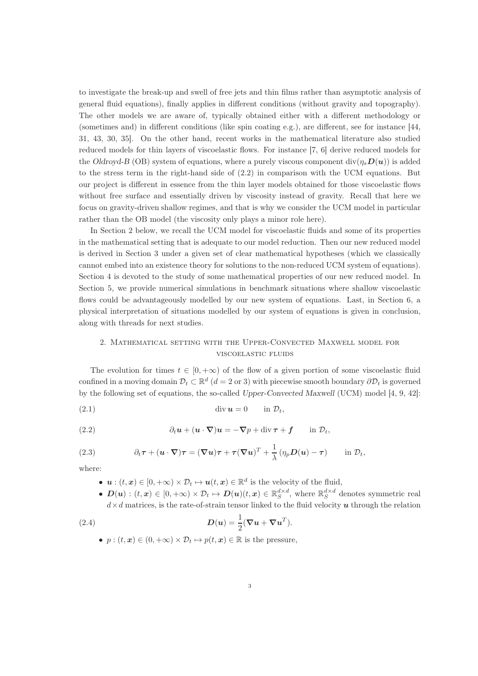to investigate the break-up and swell of free jets and thin films rather than asymptotic analysis of general fluid equations), finally applies in different conditions (without gravity and topography). The other models we are aware of, typically obtained either with a different methodology or (sometimes and) in different conditions (like spin coating e.g.), are different, see for instance [44, 31, 43, 30, 35]. On the other hand, recent works in the mathematical literature also studied reduced models for thin layers of viscoelastic flows. For instance [7, 6] derive reduced models for the Oldroyd-B (OB) system of equations, where a purely viscous component  $\text{div}(\eta_s\bm{D}(\bm{u}))$  is added to the stress term in the right-hand side of (2.2) in comparison with the UCM equations. But our project is different in essence from the thin layer models obtained for those viscoelastic flows without free surface and essentially driven by viscosity instead of gravity. Recall that here we focus on gravity-driven shallow regimes, and that is why we consider the UCM model in particular rather than the OB model (the viscosity only plays a minor role here).

In Section 2 below, we recall the UCM model for viscoelastic fluids and some of its properties in the mathematical setting that is adequate to our model reduction. Then our new reduced model is derived in Section 3 under a given set of clear mathematical hypotheses (which we classically cannot embed into an existence theory for solutions to the non-reduced UCM system of equations). Section 4 is devoted to the study of some mathematical properties of our new reduced model. In Section 5, we provide numerical simulations in benchmark situations where shallow viscoelastic flows could be advantageously modelled by our new system of equations. Last, in Section 6, a physical interpretation of situations modelled by our system of equations is given in conclusion, along with threads for next studies.

### 2. Mathematical setting with the Upper-Convected Maxwell model for viscoelastic fluids

The evolution for times  $t \in [0, +\infty)$  of the flow of a given portion of some viscoelastic fluid confined in a moving domain  $\mathcal{D}_t \subset \mathbb{R}^d$   $(d = 2 \text{ or } 3)$  with piecewise smooth boundary  $\partial \mathcal{D}_t$  is governed by the following set of equations, the so-called Upper-Convected Maxwell (UCM) model [4, 9, 42]:

(2.1) div u = 0 in Dt,

(2.2) 
$$
\partial_t \mathbf{u} + (\mathbf{u} \cdot \nabla) \mathbf{u} = -\nabla p + \text{div} \,\boldsymbol{\tau} + \mathbf{f} \qquad \text{in } \mathcal{D}_t,
$$

(2.3) 
$$
\partial_t \tau + (\boldsymbol{u} \cdot \boldsymbol{\nabla}) \tau = (\boldsymbol{\nabla} \boldsymbol{u}) \tau + \tau (\boldsymbol{\nabla} \boldsymbol{u})^T + \frac{1}{\lambda} (\eta_p \boldsymbol{D}(\boldsymbol{u}) - \tau) \quad \text{in } \mathcal{D}_t,
$$

where:

- $u:(t, x) \in [0, +\infty) \times \mathcal{D}_t \mapsto u(t, x) \in \mathbb{R}^d$  is the velocity of the fluid,
- $\boldsymbol{D}(\boldsymbol{u}) : (t, \boldsymbol{x}) \in [0, +\infty) \times \mathcal{D}_t \mapsto \boldsymbol{D}(\boldsymbol{u})(t, \boldsymbol{x}) \in \mathbb{R}_S^{d \times d}$ , where  $\mathbb{R}_S^{d \times d}$  denotes symmetric real  $d \times d$  matrices, is the rate-of-strain tensor linked to the fluid velocity u through the relation

(2.4) 
$$
D(u) = \frac{1}{2}(\nabla u + \nabla u^T).
$$

•  $p:(t, x) \in (0, +\infty) \times \mathcal{D}_t \mapsto p(t, x) \in \mathbb{R}$  is the pressure,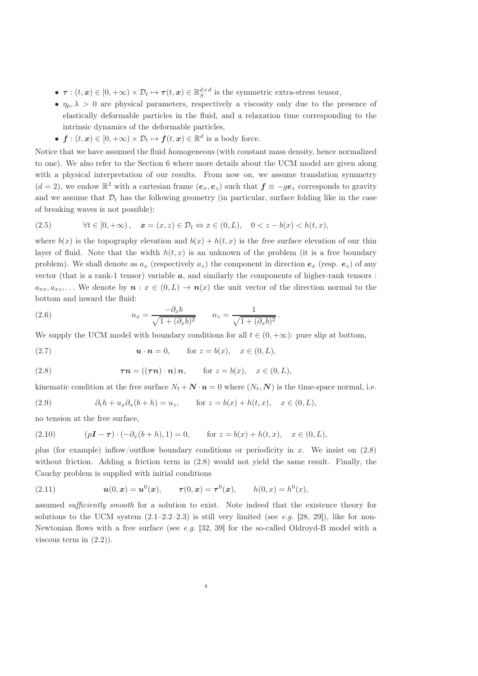- $\tau : (t, x) \in [0, +\infty) \times \mathcal{D}_t \mapsto \tau(t, x) \in \mathbb{R}_S^{d \times d}$  is the symmetric extra-stress tensor,
- $\eta_p, \lambda > 0$  are physical parameters, respectively a viscosity only due to the presence of elastically deformable particles in the fluid, and a relaxation time corresponding to the intrinsic dynamics of the deformable particles,
- $f:(t, x) \in [0, +\infty) \times \mathcal{D}_t \mapsto f(t, x) \in \mathbb{R}^d$  is a body force.

Notice that we have assumed the fluid homogeneous (with constant mass density, hence normalized to one). We also refer to the Section 6 where more details about the UCM model are given along with a physical interpretation of our results. From now on, we assume translation symmetry  $(d=2)$ , we endow  $\mathbb{R}^2$  with a cartesian frame  $(e_x, e_z)$  such that  $f \equiv -ge_z$  corresponds to gravity and we assume that  $\mathcal{D}_t$  has the following geometry (in particular, surface folding like in the case of breaking waves is not possible):

(2.5) 
$$
\forall t \in [0, +\infty), \quad \pmb{x} = (x, z) \in \mathcal{D}_t \Leftrightarrow x \in (0, L), \quad 0 < z - b(x) < h(t, x),
$$

where  $b(x)$  is the topography elevation and  $b(x) + h(t, x)$  is the free surface elevation of our thin layer of fluid. Note that the width  $h(t, x)$  is an unknown of the problem (it is a free boundary problem). We shall denote as  $a_x$  (respectively  $a_z$ ) the component in direction  $e_x$  (resp.  $e_z$ ) of any vector (that is a rank-1 tensor) variable  $a$ , and similarly the components of higher-rank tensors :  $a_{xx}, a_{xz}, \ldots$  We denote by  $\boldsymbol{n} : x \in (0, L) \to \boldsymbol{n}(x)$  the unit vector of the direction normal to the bottom and inward the fluid:

(2.6) 
$$
n_x = \frac{-\partial_x b}{\sqrt{1 + (\partial_x b)^2}} \qquad n_z = \frac{1}{\sqrt{1 + (\partial_x b)^2}}.
$$

We supply the UCM model with boundary conditions for all  $t \in (0, +\infty)$ : pure slip at bottom,

(2.7) 
$$
\mathbf{u} \cdot \mathbf{n} = 0
$$
, for  $z = b(x)$ ,  $x \in (0, L)$ ,

(2.8) 
$$
\boldsymbol{\tau}\boldsymbol{n} = ((\boldsymbol{\tau}\boldsymbol{n})\cdot\boldsymbol{n})\boldsymbol{n}, \quad \text{for } z = b(x), \quad x \in (0, L),
$$

kinematic condition at the free surface  $N_t + \mathbf{N} \cdot \mathbf{u} = 0$  where  $(N_t, \mathbf{N})$  is the time-space normal, i.e.

(2.9) 
$$
\partial_t h + u_x \partial_x (b+h) = u_z, \quad \text{for } z = b(x) + h(t, x), \quad x \in (0, L),
$$

no tension at the free surface,

(2.10) 
$$
(p\mathbf{I} - \boldsymbol{\tau}) \cdot (-\partial_x(b+h), 1) = 0
$$
, for  $z = b(x) + h(t, x)$ ,  $x \in (0, L)$ ,

plus (for example) inflow/outflow boundary conditions or periodicity in x. We insist on (2.8) without friction. Adding a friction term in (2.8) would not yield the same result. Finally, the Cauchy problem is supplied with initial conditions

(2.11) 
$$
u(0, x) = u^{0}(x), \quad \tau(0, x) = \tau^{0}(x), \quad h(0, x) = h^{0}(x),
$$

assumed *sufficiently smooth* for a solution to exist. Note indeed that the existence theory for solutions to the UCM system  $(2.1–2.2–2.3)$  is still very limited (see e.g. [28, 29]), like for non-Newtonian flows with a free surface (see e.g.  $[32, 39]$  for the so-called Oldroyd-B model with a viscous term in  $(2.2)$ .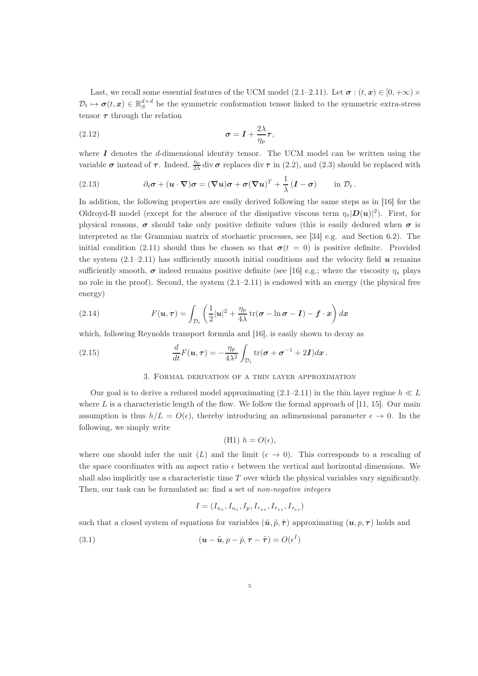Last, we recall some essential features of the UCM model (2.1–2.11). Let  $\sigma : (t, x) \in [0, +\infty) \times$  $\mathcal{D}_t \mapsto \sigma(t,x) \in \mathbb{R}_S^{d \times d}$  be the symmetric conformation tensor linked to the symmetric extra-stress tensor  $\tau$  through the relation

(2.12) 
$$
\sigma = \mathbf{I} + \frac{2\lambda}{\eta_p} \boldsymbol{\tau},
$$

where  $I$  denotes the  $d$ -dimensional identity tensor. The UCM model can be written using the variable  $\sigma$  instead of  $\tau$ . Indeed,  $\frac{\eta_p}{2\lambda}$  div  $\sigma$  replaces div  $\tau$  in (2.2), and (2.3) should be replaced with

(2.13) 
$$
\partial_t \sigma + (u \cdot \nabla) \sigma = (\nabla u) \sigma + \sigma (\nabla u)^T + \frac{1}{\lambda} (I - \sigma) \quad \text{in } \mathcal{D}_t.
$$

In addition, the following properties are easily derived following the same steps as in [16] for the Oldroyd-B model (except for the absence of the dissipative viscous term  $\eta_s|D(u)|^2$ ). First, for physical reasons,  $\sigma$  should take only positive definite values (this is easily deduced when  $\sigma$  is interpreted as the Grammian matrix of stochastic processes, see [34] e.g. and Section 6.2). The initial condition (2.11) should thus be chosen so that  $\sigma(t = 0)$  is positive definite. Provided the system  $(2.1-2.11)$  has sufficiently smooth initial conditions and the velocity field  $\boldsymbol{u}$  remains sufficiently smooth,  $\sigma$  indeed remains positive definite (see [16] e.g.; where the viscosity  $\eta_s$  plays no role in the proof). Second, the system  $(2.1-2.11)$  is endowed with an energy (the physical free energy)

(2.14) 
$$
F(\mathbf{u}, \boldsymbol{\tau}) = \int_{\mathcal{D}_t} \left( \frac{1}{2} |\mathbf{u}|^2 + \frac{\eta_p}{4\lambda} \operatorname{tr}(\boldsymbol{\sigma} - \ln \boldsymbol{\sigma} - \mathbf{I}) - \mathbf{f} \cdot \mathbf{x} \right) d\mathbf{x}
$$

which, following Reynolds transport formula and [16], is easily shown to decay as

(2.15) 
$$
\frac{d}{dt}F(\boldsymbol{u},\boldsymbol{\tau})=-\frac{\eta_p}{4\lambda^2}\int_{\mathcal{D}_t}\text{tr}(\boldsymbol{\sigma}+\boldsymbol{\sigma}^{-1}+2\boldsymbol{I})d\boldsymbol{x}.
$$

#### 3. Formal derivation of a thin layer approximation

Our goal is to derive a reduced model approximating  $(2.1-2.11)$  in the thin layer regime  $h \ll L$ where  $L$  is a characteristic length of the flow. We follow the formal approach of [11, 15]. Our main assumption is thus  $h/L = O(\epsilon)$ , thereby introducing an adimensional parameter  $\epsilon \to 0$ . In the following, we simply write

(H1) 
$$
h = O(\epsilon)
$$
,

where one should infer the unit (L) and the limit ( $\epsilon \rightarrow 0$ ). This corresponds to a rescaling of the space coordinates with an aspect ratio  $\epsilon$  between the vertical and horizontal dimensions. We shall also implicitly use a characteristic time  $T$  over which the physical variables vary significantly. Then, our task can be formulated as: find a set of *non-negative integers* 

$$
I = (I_{u_x}, I_{u_z}, I_p, I_{\tau_{xx}}, I_{\tau_{xz}}, I_{\tau_{zz}})
$$

such that a closed system of equations for variables  $(\tilde{u}, \tilde{p}, \tilde{\tau})$  approximating  $(u, p, \tau)$  holds and

(3.1) 
$$
(\mathbf{u} - \tilde{\mathbf{u}}, p - \tilde{p}, \boldsymbol{\tau} - \tilde{\boldsymbol{\tau}}) = O(\epsilon^I)
$$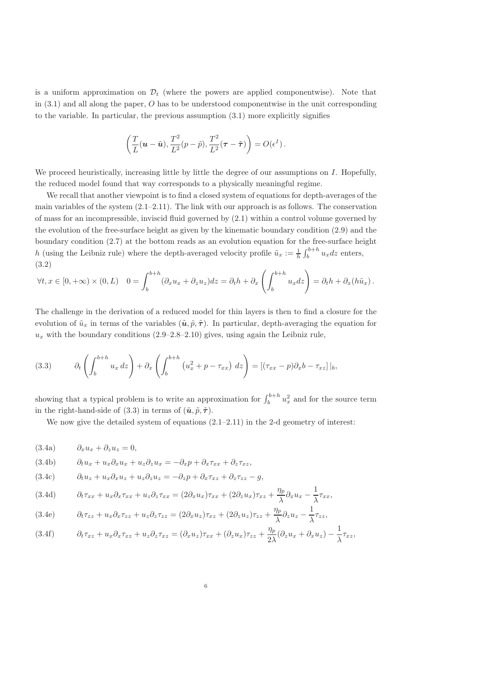is a uniform approximation on  $\mathcal{D}_t$  (where the powers are applied componentwise). Note that in  $(3.1)$  and all along the paper, O has to be understood componentwise in the unit corresponding to the variable. In particular, the previous assumption (3.1) more explicitly signifies

$$
\left(\frac{T}{L}(\boldsymbol{u}-\tilde{\boldsymbol{u}}),\frac{T^2}{L^2}(p-\tilde{p}),\frac{T^2}{L^2}(\boldsymbol{\tau}-\tilde{\boldsymbol{\tau}})\right)=O(\epsilon^I)\,.
$$

We proceed heuristically, increasing little by little the degree of our assumptions on  $I$ . Hopefully, the reduced model found that way corresponds to a physically meaningful regime.

We recall that another viewpoint is to find a closed system of equations for depth-averages of the main variables of the system (2.1–2.11). The link with our approach is as follows. The conservation of mass for an incompressible, inviscid fluid governed by (2.1) within a control volume governed by the evolution of the free-surface height as given by the kinematic boundary condition (2.9) and the boundary condition (2.7) at the bottom reads as an evolution equation for the free-surface height h (using the Leibniz rule) where the depth-averaged velocity profile  $\tilde{u}_x := \frac{1}{h} \int_b^{b+h} u_x dz$  enters, (3.2)

$$
\forall t, x \in [0, +\infty) \times (0, L) \quad 0 = \int_b^{b+h} (\partial_x u_x + \partial_z u_z) dz = \partial_t h + \partial_x \left( \int_b^{b+h} u_x dz \right) = \partial_t h + \partial_x (h \tilde{u}_x).
$$

The challenge in the derivation of a reduced model for thin layers is then to find a closure for the evolution of  $\tilde{u}_x$  in terms of the variables  $(\tilde{u}, \tilde{p}, \tilde{\tau})$ . In particular, depth-averaging the equation for  $u_x$  with the boundary conditions  $(2.9-2.8-2.10)$  gives, using again the Leibniz rule,

(3.3) 
$$
\partial_t \left( \int_b^{b+h} u_x \, dz \right) + \partial_x \left( \int_b^{b+h} \left( u_x^2 + p - \tau_{xx} \right) \, dz \right) = \left[ (\tau_{xx} - p) \partial_x b - \tau_{xz} \right] \big|_b,
$$

showing that a typical problem is to write an approximation for  $\int_{b}^{b+h} u_x^2$  and for the source term in the right-hand-side of (3.3) in terms of  $(\tilde{u}, \tilde{p}, \tilde{\tau})$ .

We now give the detailed system of equations  $(2.1-2.11)$  in the 2-d geometry of interest:

(3.4a)  $\partial_x u_x + \partial_z u_z = 0$ ,

(3.4b) 
$$
\partial_t u_x + u_x \partial_x u_x + u_z \partial_z u_x = -\partial_x p + \partial_x \tau_{xx} + \partial_z \tau_{xz},
$$

$$
(3.4c) \t\t \partial_t u_z + u_x \partial_x u_z + u_z \partial_z u_z = -\partial_z p + \partial_x \tau_{xz} + \partial_z \tau_{zz} - g,
$$

(3.4d) 
$$
\partial_t \tau_{xx} + u_x \partial_x \tau_{xx} + u_z \partial_z \tau_{xx} = (2 \partial_x u_x) \tau_{xx} + (2 \partial_z u_x) \tau_{xz} + \frac{\eta_p}{\lambda} \partial_x u_x - \frac{1}{\lambda} \tau_{xx},
$$

(3.4e) 
$$
\partial_t \tau_{zz} + u_x \partial_x \tau_{zz} + u_z \partial_z \tau_{zz} = (2 \partial_x u_z) \tau_{xz} + (2 \partial_z u_z) \tau_{zz} + \frac{\eta_p}{\lambda} \partial_z u_z - \frac{1}{\lambda} \tau_{zz},
$$

$$
(3.4f) \t\t \partial_t \tau_{xz} + u_x \partial_x \tau_{xz} + u_z \partial_z \tau_{xz} = (\partial_x u_z) \tau_{xx} + (\partial_z u_x) \tau_{zz} + \frac{\eta_p}{2\lambda} (\partial_z u_x + \partial_x u_z) - \frac{1}{\lambda} \tau_{xz},
$$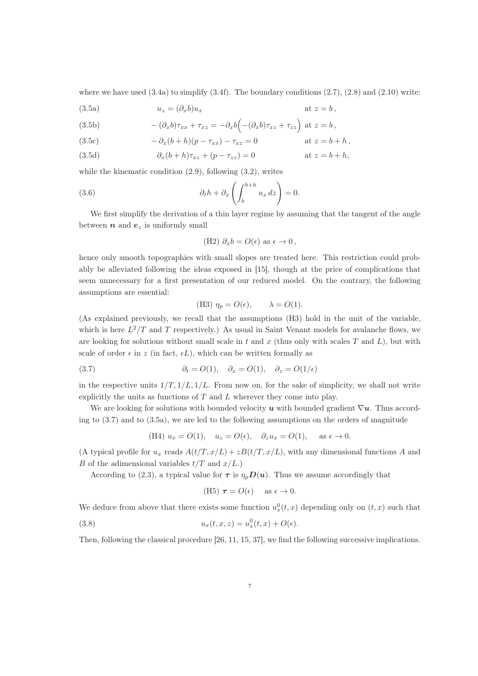where we have used  $(3.4a)$  to simplify  $(3.4f)$ . The boundary conditions  $(2.7)$ ,  $(2.8)$  and  $(2.10)$  write:

(3.5a) 
$$
u_z = (\partial_x b) u_x \qquad \text{at } z = b,
$$

(3.5b) 
$$
-(\partial_x b)\tau_{xx} + \tau_{xz} = -\partial_x b \Big( -(\partial_x b)\tau_{xz} + \tau_{zz} \Big) \text{ at } z = b,
$$

(3.5c) 
$$
- \partial_x (b+h)(p - \tau_{xx}) - \tau_{xz} = 0 \quad \text{at } z = b+h,
$$

(3.5d) 
$$
\partial_x(b+h)\tau_{xz} + (p-\tau_{zz}) = 0 \qquad \text{at } z = b+h,
$$

while the kinematic condition (2.9), following (3.2), writes

(3.6) 
$$
\partial_t h + \partial_x \left( \int_b^{b+h} u_x \, dz \right) = 0.
$$

We first simplify the derivation of a thin layer regime by assuming that the tangent of the angle between  $n$  and  $e_z$  is uniformly small

(H2) 
$$
\partial_x b = O(\epsilon)
$$
 as  $\epsilon \to 0$ ,

hence only smooth topographies with small slopes are treated here. This restriction could probably be alleviated following the ideas exposed in [15], though at the price of complications that seem unnecessary for a first presentation of our reduced model. On the contrary, the following assumptions are essential:

(H3) 
$$
\eta_p = O(\epsilon), \qquad \lambda = O(1).
$$

(As explained previously, we recall that the assumptions (H3) hold in the unit of the variable, which is here  $L^2/T$  and T respectively.) As usual in Saint Venant models for avalanche flows, we are looking for solutions without small scale in t and x (thus only with scales  $T$  and  $L$ ), but with scale of order  $\epsilon$  in z (in fact,  $\epsilon L$ ), which can be written formally as

(3.7) 
$$
\partial_t = O(1), \quad \partial_x = O(1), \quad \partial_z = O(1/\epsilon)
$$

in the respective units  $1/T$ ,  $1/L$ ,  $1/L$ . From now on, for the sake of simplicity, we shall not write explicitly the units as functions of  $T$  and  $L$  wherever they come into play.

We are looking for solutions with bounded velocity u with bounded gradient  $\nabla u$ . Thus according to (3.7) and to (3.5a), we are led to the following assumptions on the orders of magnitude

(H4) 
$$
u_x = O(1)
$$
,  $u_z = O(\epsilon)$ ,  $\partial_z u_x = O(1)$ , as  $\epsilon \to 0$ .

(A typical profile for  $u_x$  reads  $A(t/T, x/L) + zB(t/T, x/L)$ , with any dimensional functions A and B of the adimensional variables  $t/T$  and  $x/L$ .)

According to (2.3), a typical value for  $\tau$  is  $\eta_pD(u)$ . Thus we assume accordingly that

(H5) 
$$
\tau = O(\epsilon)
$$
 as  $\epsilon \to 0$ .

We deduce from above that there exists some function  $u_x^0(t, x)$  depending only on  $(t, x)$  such that

(3.8) 
$$
u_x(t, x, z) = u_x^0(t, x) + O(\epsilon).
$$

Then, following the classical procedure [26, 11, 15, 37], we find the following successive implications.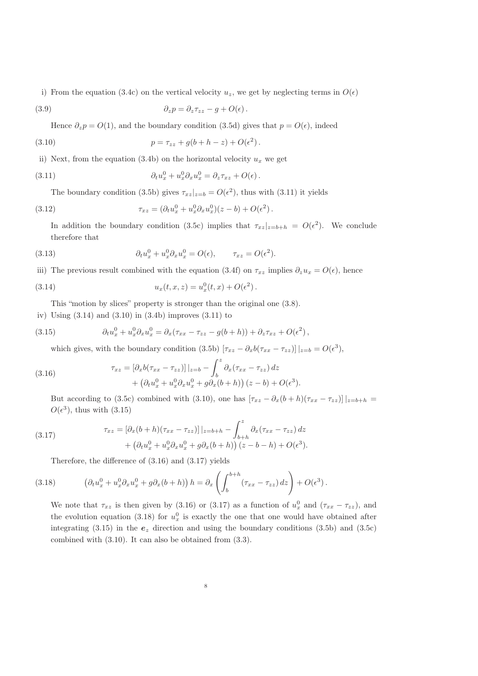i) From the equation (3.4c) on the vertical velocity  $u_z$ , we get by neglecting terms in  $O(\epsilon)$ 

(3.9) 
$$
\partial_z p = \partial_z \tau_{zz} - g + O(\epsilon).
$$

Hence  $\partial_z p = O(1)$ , and the boundary condition (3.5d) gives that  $p = O(\epsilon)$ , indeed

(3.10) 
$$
p = \tau_{zz} + g(b + h - z) + O(\epsilon^2).
$$

ii) Next, from the equation (3.4b) on the horizontal velocity  $u_x$  we get

(3.11) 
$$
\partial_t u_x^0 + u_x^0 \partial_x u_x^0 = \partial_z \tau_{xz} + O(\epsilon).
$$

The boundary condition (3.5b) gives  $\tau_{xz}|_{z=b} = O(\epsilon^2)$ , thus with (3.11) it yields

(3.12) 
$$
\tau_{xz} = (\partial_t u_x^0 + u_x^0 \partial_x u_x^0)(z - b) + O(\epsilon^2).
$$

In addition the boundary condition (3.5c) implies that  $\tau_{xz}|_{z=b+h} = O(\epsilon^2)$ . We conclude therefore that

(3.13) 
$$
\partial_t u_x^0 + u_x^0 \partial_x u_x^0 = O(\epsilon), \qquad \tau_{xz} = O(\epsilon^2).
$$

iii) The previous result combined with the equation (3.4f) on  $\tau_{xz}$  implies  $\partial_z u_x = O(\epsilon)$ , hence

(3.14) 
$$
u_x(t, x, z) = u_x^0(t, x) + O(\epsilon^2).
$$

This "motion by slices" property is stronger than the original one (3.8).

iv) Using (3.14) and (3.10) in (3.4b) improves (3.11) to

(3.15) 
$$
\partial_t u_x^0 + u_x^0 \partial_x u_x^0 = \partial_x (\tau_{xx} - \tau_{zz} - g(b+h)) + \partial_z \tau_{xz} + O(\epsilon^2),
$$

which gives, with the boundary condition (3.5b)  $[\tau_{xz} - \partial_x b(\tau_{xx} - \tau_{zz})] |_{z=b} = O(\epsilon^3)$ ,

(3.16) 
$$
\tau_{xz} = \left[\partial_x b(\tau_{xx} - \tau_{zz})\right]|_{z=b} - \int_b^z \partial_x (\tau_{xx} - \tau_{zz}) dz + \left(\partial_t u_x^0 + u_x^0 \partial_x u_x^0 + g \partial_x (b+h)\right)(z-b) + O(\epsilon^3).
$$

But according to (3.5c) combined with (3.10), one has  $[\tau_{xz} - \partial_x(b+h)(\tau_{xx} - \tau_{zz})]|_{z=b+h} =$  $O(\epsilon^3)$ , thus with  $(3.15)$ 

(3.17) 
$$
\tau_{xz} = [\partial_x (b+h)(\tau_{xx} - \tau_{zz})]|_{z=b+h} - \int_{b+h}^z \partial_x (\tau_{xx} - \tau_{zz}) dz + (\partial_t u_x^0 + u_x^0 \partial_x u_x^0 + g \partial_x (b+h)) (z-b-h) + O(\epsilon^3).
$$

Therefore, the difference of (3.16) and (3.17) yields

(3.18) 
$$
\left(\partial_t u_x^0 + u_x^0 \partial_x u_x^0 + g \partial_x (b+h)\right) h = \partial_x \left(\int_b^{b+h} (\tau_{xx} - \tau_{zz}) dz\right) + O(\epsilon^3).
$$

We note that  $\tau_{xz}$  is then given by (3.16) or (3.17) as a function of  $u_x^0$  and  $(\tau_{xx} - \tau_{zz})$ , and the evolution equation (3.18) for  $u_x^0$  is exactly the one that one would have obtained after integrating (3.15) in the  $e_z$  direction and using the boundary conditions (3.5b) and (3.5c) combined with (3.10). It can also be obtained from (3.3).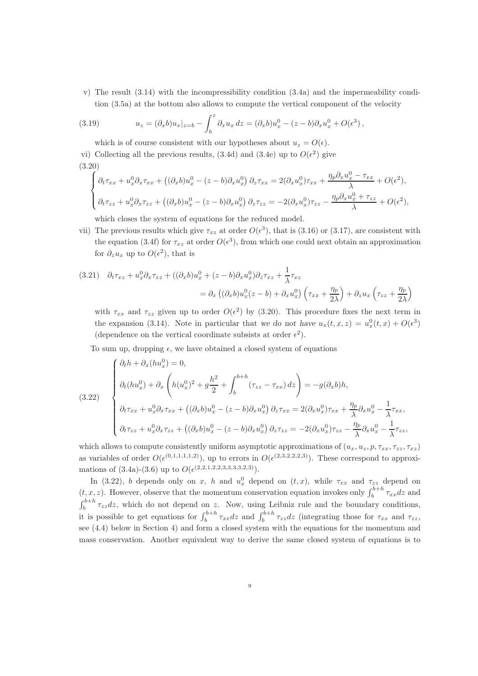v) The result (3.14) with the incompressibility condition (3.4a) and the impermeability condition (3.5a) at the bottom also allows to compute the vertical component of the velocity

(3.19) 
$$
u_z = (\partial_x b) u_x |_{z=b} - \int_b^z \partial_x u_x dz = (\partial_x b) u_x^0 - (z - b) \partial_x u_x^0 + O(\epsilon^3),
$$

which is of course consistent with our hypotheses about  $u_z = O(\epsilon)$ . vi) Collecting all the previous results, (3.4d) and (3.4e) up to  $O(\epsilon^2)$  give (3.20)

$$
\begin{cases}\n\partial_t \tau_{xx} + u_x^0 \partial_x \tau_{xx} + \left( (\partial_x b) u_x^0 - (z - b) \partial_x u_x^0 \right) \partial_z \tau_{xx} = 2 (\partial_x u_x^0) \tau_{xx} + \frac{\eta_p \partial_x u_x^0 - \tau_{xx}}{\lambda} + O(\epsilon^2), \\
\partial_t \tau_{zz} + u_x^0 \partial_x \tau_{zz} + \left( (\partial_x b) u_x^0 - (z - b) \partial_x u_x^0 \right) \partial_z \tau_{zz} = -2 (\partial_x u_x^0) \tau_{zz} - \frac{\eta_p \partial_x u_x^0 + \tau_{zz}}{\lambda} + O(\epsilon^2),\n\end{cases}
$$

which closes the system of equations for the reduced model.

vii) The previous results which give  $\tau_{xz}$  at order  $O(\epsilon^3)$ , that is (3.16) or (3.17), are consistent with the equation (3.4f) for  $\tau_{xz}$  at order  $O(\epsilon^3)$ , from which one could next obtain an approximation for  $\partial_z u_x$  up to  $O(\epsilon^2)$ , that is

$$
(3.21) \quad \partial_t \tau_{xz} + u_x^0 \partial_x \tau_{xz} + ((\partial_x b)u_x^0 + (z - b)\partial_x u_x^0)\partial_z \tau_{xz} + \frac{1}{\lambda} \tau_{xz}
$$
  

$$
= \partial_x ((\partial_x b)u_x^0(z - b) + \partial_x u_x^0) \left(\tau_{xx} + \frac{\eta_p}{2\lambda}\right) + \partial_z u_x \left(\tau_{zz} + \frac{\eta_p}{2\lambda}\right)
$$

with  $\tau_{xx}$  and  $\tau_{zz}$  given up to order  $O(\epsilon^2)$  by (3.20). This procedure fixes the next term in the expansion (3.14). Note in particular that we do not have  $u_x(t, x, z) = u_x^0(t, x) + O(\epsilon^3)$ (dependence on the vertical coordinate subsists at order  $\epsilon^2$ ).

To sum up, dropping  $\epsilon$ , we have obtained a closed system of equations

(3.22)  

$$
\begin{cases}\n\partial_t h + \partial_x (h u_x^0) = 0, \\
\partial_t (h u_x^0) + \partial_x \left( h (u_x^0)^2 + g \frac{h^2}{2} + \int_b^{b+h} (\tau_{zz} - \tau_{xx}) dz \right) = -g(\partial_x b)h, \\
\partial_t \tau_{xx} + u_x^0 \partial_x \tau_{xx} + ((\partial_x b)u_x^0 - (z - b)\partial_x u_x^0) \partial_z \tau_{xx} = 2(\partial_x u_x^0) \tau_{xx} + \frac{\eta_p}{\lambda} \partial_x u_x^0 - \frac{1}{\lambda} \tau_{xx}, \\
\partial_t \tau_{zz} + u_x^0 \partial_x \tau_{zz} + ((\partial_x b)u_x^0 - (z - b)\partial_x u_x^0) \partial_z \tau_{zz} = -2(\partial_x u_x^0) \tau_{zz} - \frac{\eta_p}{\lambda} \partial_x u_x^0 - \frac{1}{\lambda} \tau_{zz},\n\end{cases}
$$

which allows to compute consistently uniform asymptotic approximations of  $(u_x, u_z, p, \tau_{xx}, \tau_{zz}, \tau_{xz})$ as variables of order  $O(\epsilon^{(0,1,1,1,1,2)})$ , up to errors in  $O(\epsilon^{(2,3,2,2,2,3)})$ . These correspond to approximations of  $(3.4a)-(3.6)$  up to  $O(\epsilon^{(2,2,1,2,2,3,3,3,3,2,3)}).$ 

In (3.22), b depends only on x, h and  $u_x^0$  depend on  $(t, x)$ , while  $\tau_{xx}$  and  $\tau_{zz}$  depend on  $(t, x, z)$ . However, observe that the momentum conservation equation invokes only  $\int_{b}^{b+h} \tau_{xx} dz$  and  $\int_b^{b+h} \tau_{zz} dz$ , which do not depend on z. Now, using Leibniz rule and the boundary conditions, it is possible to get equations for  $\int_b^{b+h} \tau_{xx} dz$  and  $\int_b^{b+h} \tau_{zz} dz$  (integrating those for  $\tau_{xx}$  and  $\tau_{zz}$ , see (4.4) below in Section 4) and form a closed system with the equations for the momentum and mass conservation. Another equivalent way to derive the same closed system of equations is to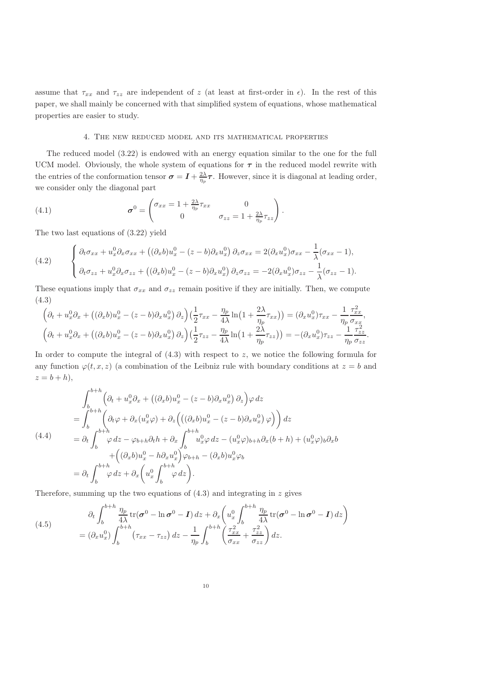assume that  $\tau_{xx}$  and  $\tau_{zz}$  are independent of z (at least at first-order in  $\epsilon$ ). In the rest of this paper, we shall mainly be concerned with that simplified system of equations, whose mathematical properties are easier to study.

#### 4. The new reduced model and its mathematical properties

The reduced model (3.22) is endowed with an energy equation similar to the one for the full UCM model. Obviously, the whole system of equations for  $\tau$  in the reduced model rewrite with the entries of the conformation tensor  $\sigma = I + \frac{2\lambda}{\eta_p} \tau$ . However, since it is diagonal at leading order, we consider only the diagonal part

(4.1) 
$$
\boldsymbol{\sigma}^0 = \begin{pmatrix} \sigma_{xx} = 1 + \frac{2\lambda}{\eta_p} \tau_{xx} & 0 \\ 0 & \sigma_{zz} = 1 + \frac{2\lambda}{\eta_p} \tau_{zz} \end{pmatrix}.
$$

The two last equations of (3.22) yield

(4.2) 
$$
\begin{cases} \partial_t \sigma_{xx} + u_x^0 \partial_x \sigma_{xx} + ((\partial_x b)u_x^0 - (z - b)\partial_x u_x^0) \partial_z \sigma_{xx} = 2(\partial_x u_x^0) \sigma_{xx} - \frac{1}{\lambda} (\sigma_{xx} - 1), \\ \partial_t \sigma_{zz} + u_x^0 \partial_x \sigma_{zz} + ((\partial_x b)u_x^0 - (z - b)\partial_x u_x^0) \partial_z \sigma_{zz} = -2(\partial_x u_x^0) \sigma_{zz} - \frac{1}{\lambda} (\sigma_{zz} - 1). \end{cases}
$$

These equations imply that  $\sigma_{xx}$  and  $\sigma_{zz}$  remain positive if they are initially. Then, we compute (4.3)

$$
\left(\partial_t + u_x^0 \partial_x + \left( (\partial_x b) u_x^0 - (z - b) \partial_x u_x^0 \right) \partial_z \right) \left( \frac{1}{2} \tau_{xx} - \frac{\eta_p}{4\lambda} \ln \left( 1 + \frac{2\lambda}{\eta_p} \tau_{xx} \right) \right) = (\partial_x u_x^0) \tau_{xx} - \frac{1}{\eta_p} \frac{\tau_{xx}^2}{\sigma_{xx}},
$$
\n
$$
\left( \partial_t + u_x^0 \partial_x + \left( (\partial_x b) u_x^0 - (z - b) \partial_x u_x^0 \right) \partial_z \right) \left( \frac{1}{2} \tau_{zz} - \frac{\eta_p}{4\lambda} \ln \left( 1 + \frac{2\lambda}{\eta_p} \tau_{zz} \right) \right) = -(\partial_x u_x^0) \tau_{zz} - \frac{1}{\eta_p} \frac{\tau_{zz}^2}{\sigma_{zz}}.
$$

In order to compute the integral of  $(4.3)$  with respect to z, we notice the following formula for any function  $\varphi(t, x, z)$  (a combination of the Leibniz rule with boundary conditions at  $z = b$  and  $z = b + h$ ,

$$
\int_{b}^{b+h} \left( \partial_{t} + u_{x}^{0} \partial_{x} + \left( (\partial_{x} b) u_{x}^{0} - (z - b) \partial_{x} u_{x}^{0} \right) \partial_{z} \right) \varphi \, dz
$$
\n
$$
= \int_{b}^{b+h} \left( \partial_{t} \varphi + \partial_{x} (u_{x}^{0} \varphi) + \partial_{z} \left( \left( (\partial_{x} b) u_{x}^{0} - (z - b) \partial_{x} u_{x}^{0} \right) \varphi \right) \right) dz
$$
\n
$$
= \partial_{t} \int_{b}^{b+h} \varphi \, dz - \varphi_{b+h} \partial_{t} h + \partial_{x} \int_{b}^{b+h} u_{x}^{0} \varphi \, dz - (u_{x}^{0} \varphi)_{b+h} \partial_{x} (b+h) + (u_{x}^{0} \varphi)_{b} \partial_{x} b
$$
\n
$$
+ \left( (\partial_{x} b) u_{x}^{0} - h \partial_{x} u_{x}^{0} \right) \varphi_{b+h} - (\partial_{x} b) u_{x}^{0} \varphi_{b}
$$
\n
$$
= \partial_{t} \int_{b}^{b+h} \varphi \, dz + \partial_{x} \left( u_{x}^{0} \int_{b}^{b+h} \varphi \, dz \right).
$$

Therefore, summing up the two equations of  $(4.3)$  and integrating in z gives

(4.5) 
$$
\partial_t \int_b^{b+h} \frac{\eta_p}{4\lambda} \text{tr}(\boldsymbol{\sigma}^0 - \ln \boldsymbol{\sigma}^0 - \mathbf{I}) dz + \partial_x \left( u_x^0 \int_b^{b+h} \frac{\eta_p}{4\lambda} \text{tr}(\boldsymbol{\sigma}^0 - \ln \boldsymbol{\sigma}^0 - \mathbf{I}) dz \right) = (\partial_x u_x^0) \int_b^{b+h} \left( \tau_{xx} - \tau_{zz} \right) dz - \frac{1}{\eta_p} \int_b^{b+h} \left( \frac{\tau_{xx}^2}{\sigma_{xx}} + \frac{\tau_{zz}^2}{\sigma_{zz}} \right) dz.
$$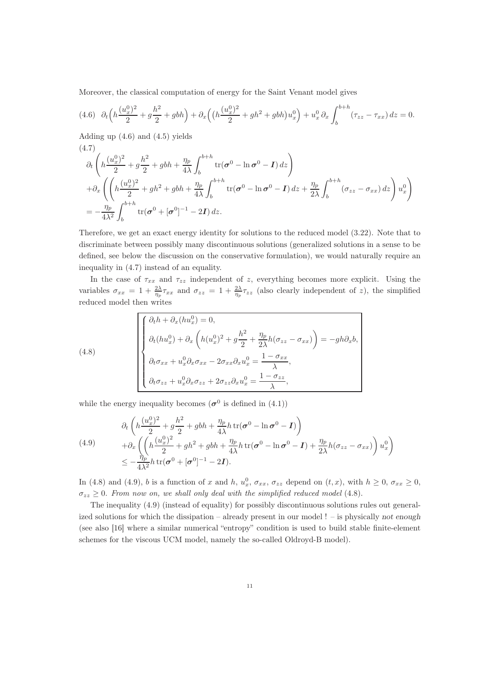Moreover, the classical computation of energy for the Saint Venant model gives

$$
(4.6)\quad \partial_t\left(h\frac{(u_x^0)^2}{2} + g\frac{h^2}{2} + gbh\right) + \partial_x\left((h\frac{(u_x^0)^2}{2} + gh^2 + gbh)u_x^0\right) + u_x^0\partial_x\int_b^{b+h} (\tau_{zz} - \tau_{xx})\,dz = 0.
$$

Adding up (4.6) and (4.5) yields

$$
(4.7)
$$
\n
$$
\partial_t \left( h \frac{(u_x^0)^2}{2} + g \frac{h^2}{2} + g b h + \frac{\eta_p}{4\lambda} \int_b^{b+h} tr(\sigma^0 - \ln \sigma^0 - I) \, dz \right)
$$
\n
$$
+ \partial_x \left( \left( h \frac{(u_x^0)^2}{2} + gh^2 + g b h + \frac{\eta_p}{4\lambda} \int_b^{b+h} tr(\sigma^0 - \ln \sigma^0 - I) \, dz + \frac{\eta_p}{2\lambda} \int_b^{b+h} (\sigma_{zz} - \sigma_{xx}) \, dz \right) u_x^0 \right)
$$
\n
$$
= -\frac{\eta_p}{4\lambda^2} \int_b^{b+h} tr(\sigma^0 + [\sigma^0]^{-1} - 2I) \, dz.
$$

Therefore, we get an exact energy identity for solutions to the reduced model (3.22). Note that to discriminate between possibly many discontinuous solutions (generalized solutions in a sense to be defined, see below the discussion on the conservative formulation), we would naturally require an inequality in (4.7) instead of an equality.

In the case of  $\tau_{xx}$  and  $\tau_{zz}$  independent of z, everything becomes more explicit. Using the variables  $\sigma_{xx} = 1 + \frac{2\lambda}{\eta_p} \tau_{xx}$  and  $\sigma_{zz} = 1 + \frac{2\lambda}{\eta_p} \tau_{zz}$  (also clearly independent of z), the simplified reduced model then writes

(4.8)  
\n
$$
\begin{cases}\n\partial_t h + \partial_x (h u_x^0) = 0, \\
\partial_t (h u_x^0) + \partial_x \left( h (u_x^0)^2 + g \frac{h^2}{2} + \frac{\eta_p}{2\lambda} h (\sigma_{zz} - \sigma_{xx}) \right) = -gh \partial_x b, \\
\partial_t \sigma_{xx} + u_x^0 \partial_x \sigma_{xx} - 2 \sigma_{xx} \partial_x u_x^0 = \frac{1 - \sigma_{xx}}{\lambda}, \\
\partial_t \sigma_{zz} + u_x^0 \partial_x \sigma_{zz} + 2 \sigma_{zz} \partial_x u_x^0 = \frac{1 - \sigma_{zz}}{\lambda},\n\end{cases}
$$

while the energy inequality becomes  $(\sigma^0$  is defined in (4.1))

$$
\partial_t \left( h \frac{(u_x^0)^2}{2} + g \frac{h^2}{2} + gbh + \frac{\eta_p}{4\lambda} h \operatorname{tr}(\boldsymbol{\sigma}^0 - \ln \boldsymbol{\sigma}^0 - \mathbf{I}) \right) \n+ \partial_x \left( \left( h \frac{(u_x^0)^2}{2} + gh^2 + gbh + \frac{\eta_p}{4\lambda} h \operatorname{tr}(\boldsymbol{\sigma}^0 - \ln \boldsymbol{\sigma}^0 - \mathbf{I}) + \frac{\eta_p}{2\lambda} h (\sigma_{zz} - \sigma_{xx}) \right) u_x^0 \right) \n\leq -\frac{\eta_p}{4\lambda^2} h \operatorname{tr}(\boldsymbol{\sigma}^0 + [\boldsymbol{\sigma}^0]^{-1} - 2\mathbf{I}).
$$

In (4.8) and (4.9), b is a function of x and h,  $u_x^0$ ,  $\sigma_{xx}$ ,  $\sigma_{zz}$  depend on  $(t, x)$ , with  $h \ge 0$ ,  $\sigma_{xx} \ge 0$ ,  $\sigma_{zz} \geq 0$ . From now on, we shall only deal with the simplified reduced model (4.8).

The inequality (4.9) (instead of equality) for possibly discontinuous solutions rules out generalized solutions for which the dissipation – already present in our model ! – is physically not enough (see also [16] where a similar numerical "entropy" condition is used to build stable finite-element schemes for the viscous UCM model, namely the so-called Oldroyd-B model).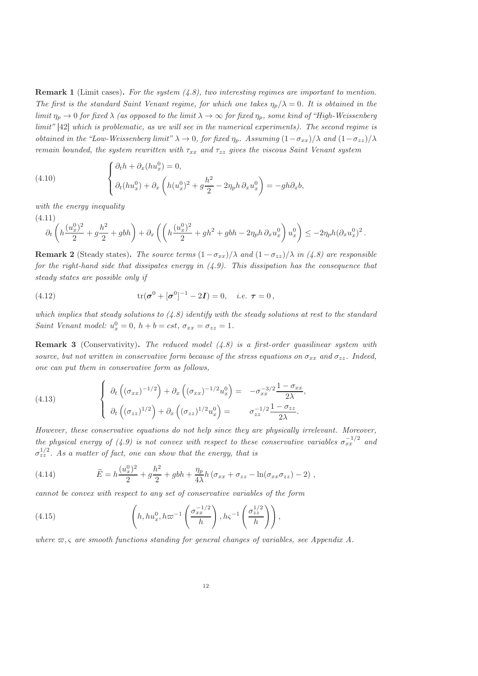**Remark 1** (Limit cases). For the system  $(4.8)$ , two interesting regimes are important to mention. The first is the standard Saint Venant regime, for which one takes  $\eta_p/\lambda = 0$ . It is obtained in the limit  $\eta_p \to 0$  for fixed  $\lambda$  (as opposed to the limit  $\lambda \to \infty$  for fixed  $\eta_p$ , some kind of "High-Weissenberg" limit" [42] which is problematic, as we will see in the numerical experiments). The second regime is obtained in the "Low-Weissenberg limit"  $\lambda \to 0$ , for fixed  $\eta_p$ . Assuming  $(1-\sigma_{xx})/\lambda$  and  $(1-\sigma_{zz})/\lambda$ remain bounded, the system rewritten with  $\tau_{xx}$  and  $\tau_{zz}$  gives the viscous Saint Venant system

(4.10) 
$$
\begin{cases} \partial_t h + \partial_x (h u_x^0) = 0, \\ \partial_t (h u_x^0) + \partial_x \left( h (u_x^0)^2 + g \frac{h^2}{2} - 2 \eta_p h \, \partial_x u_x^0 \right) = -gh \partial_x b, \end{cases}
$$

with the energy inequality

$$
(4.11) \partial_t \left( h \frac{(u_x^0)^2}{2} + g \frac{h^2}{2} + gbh \right) + \partial_x \left( \left( h \frac{(u_x^0)^2}{2} + gh^2 + gbh - 2\eta_p h \partial_x u_x^0 \right) u_x^0 \right) \leq -2\eta_p h (\partial_x u_x^0)^2.
$$

**Remark 2** (Steady states). The source terms  $(1 - \sigma_{xx})/\lambda$  and  $(1 - \sigma_{zz})/\lambda$  in (4.8) are responsible for the right-hand side that dissipates energy in  $(4.9)$ . This dissipation has the consequence that steady states are possible only if

(4.12) 
$$
\text{tr}(\sigma^0 + [\sigma^0]^{-1} - 2I) = 0, \quad i.e. \ \tau = 0,
$$

which implies that steady solutions to  $(4.8)$  identify with the steady solutions at rest to the standard Saint Venant model:  $u_x^0 = 0$ ,  $h + b = cst$ ,  $\sigma_{xx} = \sigma_{zz} = 1$ .

**Remark 3** (Conservativity). The reduced model  $(4.8)$  is a first-order quasilinear system with source, but not written in conservative form because of the stress equations on  $\sigma_{xx}$  and  $\sigma_{zz}$ . Indeed, one can put them in conservative form as follows,

(4.13) 
$$
\begin{cases} \partial_t \left( (\sigma_{xx})^{-1/2} \right) + \partial_x \left( (\sigma_{xx})^{-1/2} u_x^0 \right) = -\sigma_{xx}^{-3/2} \frac{1 - \sigma_{xx}}{2\lambda}, \\ \partial_t \left( (\sigma_{zz})^{1/2} \right) + \partial_x \left( (\sigma_{zz})^{1/2} u_x^0 \right) = \sigma_{zz}^{-1/2} \frac{1 - \sigma_{zz}}{2\lambda}. \end{cases}
$$

However, these conservative equations do not help since they are physically irrelevant. Moreover, the physical energy of (4.9) is not convex with respect to these conservative variables  $\sigma_{xx}^{-1/2}$  and  $\sigma_{zz}^{1/2}$ . As a matter of fact, one can show that the energy, that is

(4.14) 
$$
\widetilde{E} = h \frac{(u_x^0)^2}{2} + g \frac{h^2}{2} + gbh + \frac{\eta_p}{4\lambda} h (\sigma_{xx} + \sigma_{zz} - \ln(\sigma_{xx}\sigma_{zz}) - 2) ,
$$

cannot be convex with respect to any set of conservative variables of the form

(4.15) 
$$
\left(h, hu_x^0, h\varpi^{-1}\left(\frac{\sigma_{xx}^{-1/2}}{h}\right), h\varsigma^{-1}\left(\frac{\sigma_{zz}^{1/2}}{h}\right)\right),
$$

where  $\varpi, \varsigma$  are smooth functions standing for general changes of variables, see Appendix A.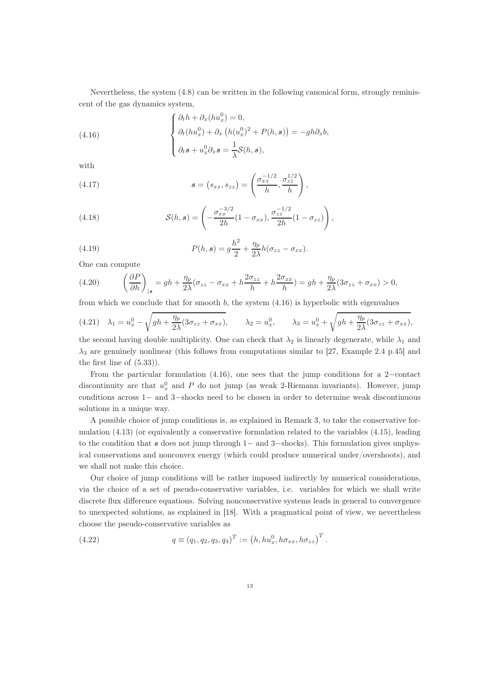Nevertheless, the system (4.8) can be written in the following canonical form, strongly reminiscent of the gas dynamics system,

(4.16) 
$$
\begin{cases} \partial_t h + \partial_x (h u_x^0) = 0, \\ \partial_t (h u_x^0) + \partial_x (h (u_x^0)^2 + P(h, \mathbf{s})) = -gh \partial_x b, \\ \partial_t \mathbf{s} + u_x^0 \partial_x \mathbf{s} = \frac{1}{\lambda} \mathcal{S}(h, \mathbf{s}), \end{cases}
$$

with

(4.17) 
$$
\mathbf{s} = (s_{xx}, s_{zz}) = \left(\frac{\sigma_{xx}^{-1/2}}{h}, \frac{\sigma_{zz}^{1/2}}{h}\right),
$$

(4.18) 
$$
\mathcal{S}(h, s) = \left(-\frac{\sigma_{xx}^{-3/2}}{2h}(1 - \sigma_{xx}), \frac{\sigma_{zz}^{-1/2}}{2h}(1 - \sigma_{zz})\right),
$$

(4.19) 
$$
P(h,s) = g\frac{h^2}{2} + \frac{\eta_p}{2\lambda}h(\sigma_{zz} - \sigma_{xx}).
$$

One can compute

(4.20) 
$$
\left(\frac{\partial P}{\partial h}\right)_{|s} = gh + \frac{\eta_p}{2\lambda}(\sigma_{zz} - \sigma_{xx} + h\frac{2\sigma_{zz}}{h} + h\frac{2\sigma_{xx}}{h}) = gh + \frac{\eta_p}{2\lambda}(3\sigma_{zz} + \sigma_{xx}) > 0,
$$

from which we conclude that for smooth  $b$ , the system  $(4.16)$  is hyperbolic with eigenvalues

$$
(4.21)\quad \lambda_1 = u_x^0 - \sqrt{gh + \frac{\eta_p}{2\lambda}(3\sigma_{zz} + \sigma_{xx})}, \qquad \lambda_2 = u_x^0, \qquad \lambda_3 = u_x^0 + \sqrt{gh + \frac{\eta_p}{2\lambda}(3\sigma_{zz} + \sigma_{xx})},
$$

the second having double multiplicity. One can check that  $\lambda_2$  is linearly degenerate, while  $\lambda_1$  and  $\lambda_3$  are genuinely nonlinear (this follows from computations similar to [27, Example 2.4 p.45] and the first line of (5.33)).

From the particular formulation (4.16), one sees that the jump conditions for a 2−contact discontinuity are that  $u_x^0$  and P do not jump (as weak 2-Riemann invariants). However, jump conditions across 1− and 3−shocks need to be chosen in order to determine weak discontinuous solutions in a unique way.

A possible choice of jump conditions is, as explained in Remark 3, to take the conservative formulation  $(4.13)$  (or equivalently a conservative formulation related to the variables  $(4.15)$ , leading to the condition that s does not jump through 1– and 3–shocks). This formulation gives unphysical conservations and nonconvex energy (which could produce numerical under/overshoots), and we shall not make this choice.

Our choice of jump conditions will be rather imposed indirectly by numerical considerations, via the choice of a set of pseudo-conservative variables, i.e. variables for which we shall write discrete flux difference equations. Solving nonconservative systems leads in general to convergence to unexpected solutions, as explained in [18]. With a pragmatical point of view, we nevertheless choose the pseudo-conservative variables as

(4.22) 
$$
q \equiv (q_1, q_2, q_3, q_4)^T := (h, hu_x^0, h\sigma_{xx}, h\sigma_{zz})^T.
$$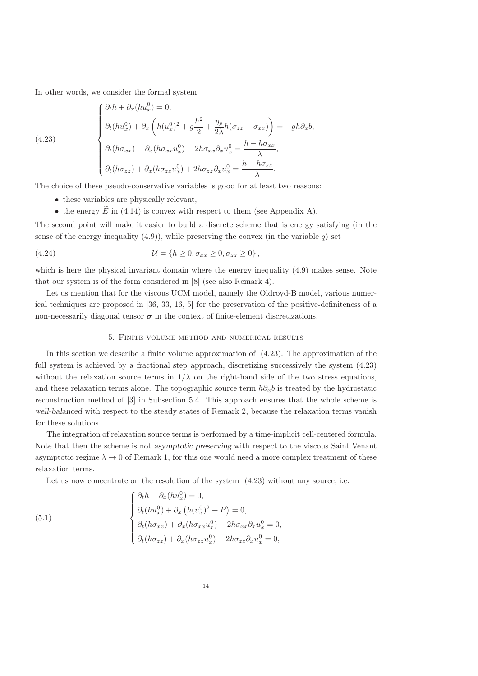In other words, we consider the formal system

$$
(4.23)
$$

$$
\begin{cases}\n\partial_t h + \partial_x (h u_x^0) = 0, \\
\partial_t (h u_x^0) + \partial_x \left( h (u_x^0)^2 + g \frac{h^2}{2} + \frac{\eta_p}{2\lambda} h (\sigma_{zz} - \sigma_{xx}) \right) = -gh \partial_x b, \\
\partial_t (h \sigma_{xx}) + \partial_x (h \sigma_{xx} u_x^0) - 2h \sigma_{xx} \partial_x u_x^0 = \frac{h - h \sigma_{xx}}{\lambda}, \\
\partial_t (h \sigma_{zz}) + \partial_x (h \sigma_{zz} u_x^0) + 2h \sigma_{zz} \partial_x u_x^0 = \frac{h - h \sigma_{zz}}{\lambda}.\n\end{cases}
$$

The choice of these pseudo-conservative variables is good for at least two reasons:

- these variables are physically relevant,
- the energy  $\widetilde{E}$  in (4.14) is convex with respect to them (see Appendix A).

The second point will make it easier to build a discrete scheme that is energy satisfying (in the sense of the energy inequality  $(4.9)$ ), while preserving the convex (in the variable q) set

(4.24) 
$$
U = \{h \ge 0, \sigma_{xx} \ge 0, \sigma_{zz} \ge 0\},\,
$$

which is here the physical invariant domain where the energy inequality (4.9) makes sense. Note that our system is of the form considered in [8] (see also Remark 4).

Let us mention that for the viscous UCM model, namely the Oldroyd-B model, various numerical techniques are proposed in [36, 33, 16, 5] for the preservation of the positive-definiteness of a non-necessarily diagonal tensor  $\sigma$  in the context of finite-element discretizations.

#### 5. Finite volume method and numerical results

In this section we describe a finite volume approximation of (4.23). The approximation of the full system is achieved by a fractional step approach, discretizing successively the system  $(4.23)$ without the relaxation source terms in  $1/\lambda$  on the right-hand side of the two stress equations, and these relaxation terms alone. The topographic source term  $h\partial_xb$  is treated by the hydrostatic reconstruction method of [3] in Subsection 5.4. This approach ensures that the whole scheme is well-balanced with respect to the steady states of Remark 2, because the relaxation terms vanish for these solutions.

The integration of relaxation source terms is performed by a time-implicit cell-centered formula. Note that then the scheme is not *asymptotic preserving* with respect to the viscous Saint Venant asymptotic regime  $\lambda \to 0$  of Remark 1, for this one would need a more complex treatment of these relaxation terms.

Let us now concentrate on the resolution of the system  $(4.23)$  without any source, i.e.

(5.1)  
\n
$$
\begin{cases}\n\partial_t h + \partial_x (h u_x^0) = 0, \\
\partial_t (h u_x^0) + \partial_x (h (u_x^0)^2 + P) = 0, \\
\partial_t (h \sigma_{xx}) + \partial_x (h \sigma_{xx} u_x^0) - 2h \sigma_{xx} \partial_x u_x^0 = 0, \\
\partial_t (h \sigma_{zz}) + \partial_x (h \sigma_{zz} u_x^0) + 2h \sigma_{zz} \partial_x u_x^0 = 0,\n\end{cases}
$$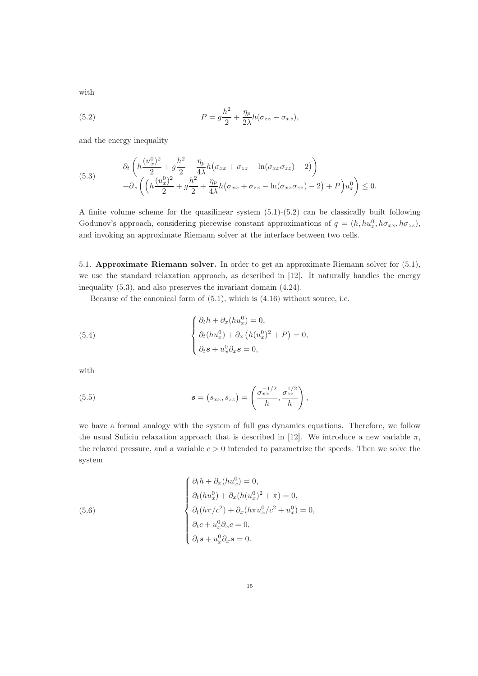with

(5.2) 
$$
P = g\frac{h^2}{2} + \frac{\eta_p}{2\lambda}h(\sigma_{zz} - \sigma_{xx}),
$$

and the energy inequality

(5.3) 
$$
\begin{aligned}\n\partial_t \left( h \frac{(u_x^0)^2}{2} + g \frac{h^2}{2} + \frac{\eta_p}{4\lambda} h (\sigma_{xx} + \sigma_{zz} - \ln(\sigma_{xx}\sigma_{zz}) - 2) \right) \\
+ \partial_x \left( \left( h \frac{(u_x^0)^2}{2} + g \frac{h^2}{2} + \frac{\eta_p}{4\lambda} h (\sigma_{xx} + \sigma_{zz} - \ln(\sigma_{xx}\sigma_{zz}) - 2) + P \right) u_x^0 \right) &\leq 0.\n\end{aligned}
$$

A finite volume scheme for the quasilinear system (5.1)-(5.2) can be classically built following Godunov's approach, considering piecewise constant approximations of  $q = (h, hu_x^0, h\sigma_{xx}, h\sigma_{zz}),$ and invoking an approximate Riemann solver at the interface between two cells.

5.1. Approximate Riemann solver. In order to get an approximate Riemann solver for (5.1), we use the standard relaxation approach, as described in [12]. It naturally handles the energy inequality (5.3), and also preserves the invariant domain (4.24).

Because of the canonical form of (5.1), which is (4.16) without source, i.e.

(5.4) 
$$
\begin{cases} \partial_t h + \partial_x (h u_x^0) = 0, \\ \partial_t (h u_x^0) + \partial_x (h (u_x^0)^2 + P) = 0, \\ \partial_t s + u_x^0 \partial_x s = 0, \end{cases}
$$

with

(5.5) 
$$
\mathbf{s} = (s_{xx}, s_{zz}) = \left(\frac{\sigma_{xx}^{-1/2}}{h}, \frac{\sigma_{zz}^{1/2}}{h}\right),
$$

we have a formal analogy with the system of full gas dynamics equations. Therefore, we follow the usual Suliciu relaxation approach that is described in [12]. We introduce a new variable  $\pi$ , the relaxed pressure, and a variable  $c > 0$  intended to parametrize the speeds. Then we solve the system

(5.6)  

$$
\begin{cases}\n\partial_t h + \partial_x (h u_x^0) = 0, \\
\partial_t (h u_x^0) + \partial_x (h (u_x^0)^2 + \pi) = 0, \\
\partial_t (h \pi / c^2) + \partial_x (h \pi u_x^0 / c^2 + u_x^0) = 0, \\
\partial_t c + u_x^0 \partial_x c = 0, \\
\partial_t s + u_x^0 \partial_x s = 0.\n\end{cases}
$$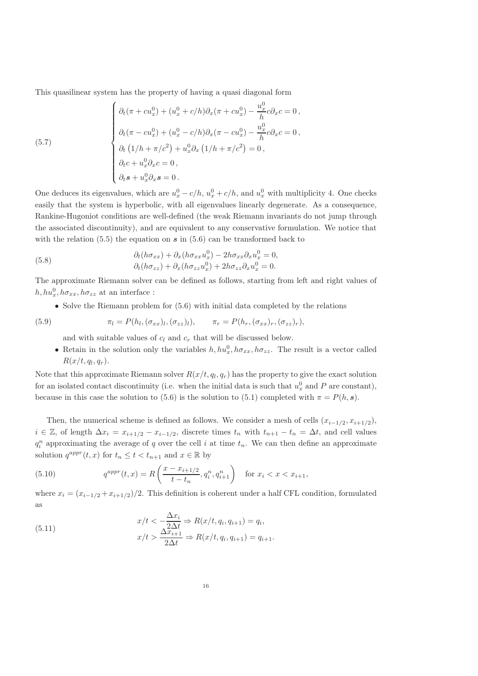This quasilinear system has the property of having a quasi diagonal form

(5.7)  
\n
$$
\begin{cases}\n\partial_t(\pi + cu_x^0) + (u_x^0 + c/h)\partial_x(\pi + cu_x^0) - \frac{u_x^0}{h}c\partial_x c = 0, \\
\partial_t(\pi - cu_x^0) + (u_x^0 - c/h)\partial_x(\pi - cu_x^0) - \frac{u_x^0}{h}c\partial_x c = 0, \\
\partial_t(1/h + \pi/c^2) + u_x^0\partial_x(1/h + \pi/c^2) = 0, \\
\partial_t c + u_x^0\partial_x c = 0, \\
\partial_t s + u_x^0\partial_x s = 0.\n\end{cases}
$$

One deduces its eigenvalues, which are  $u_x^0 - c/h$ ,  $u_x^0 + c/h$ , and  $u_x^0$  with multiplicity 4. One checks easily that the system is hyperbolic, with all eigenvalues linearly degenerate. As a consequence, Rankine-Hugoniot conditions are well-defined (the weak Riemann invariants do not jump through the associated discontinuity), and are equivalent to any conservative formulation. We notice that with the relation  $(5.5)$  the equation on s in  $(5.6)$  can be transformed back to

(5.8) 
$$
\partial_t (h \sigma_{xx}) + \partial_x (h \sigma_{xx} u_x^0) - 2h \sigma_{xx} \partial_x u_x^0 = 0, \partial_t (h \sigma_{zz}) + \partial_x (h \sigma_{zz} u_x^0) + 2h \sigma_{zz} \partial_x u_x^0 = 0.
$$

The approximate Riemann solver can be defined as follows, starting from left and right values of  $h, hu_x^0, h\sigma_{xx}, h\sigma_{zz}$  at an interface :

• Solve the Riemann problem for (5.6) with initial data completed by the relations

(5.9) 
$$
\pi_l = P(h_l, (\sigma_{xx})_l, (\sigma_{zz})_l), \qquad \pi_r = P(h_r, (\sigma_{xx})_r, (\sigma_{zz})_r),
$$

and with suitable values of  $c_l$  and  $c_r$  that will be discussed below.

• Retain in the solution only the variables  $h, hu_x^0, h\sigma_{xx}, h\sigma_{zz}$ . The result is a vector called  $R(x/t, q_l, q_r).$ 

Note that this approximate Riemann solver  $R(x/t, q_l, q_r)$  has the property to give the exact solution for an isolated contact discontinuity (i.e. when the initial data is such that  $u_x^0$  and P are constant), because in this case the solution to (5.6) is the solution to (5.1) completed with  $\pi = P(h, s)$ .

Then, the numerical scheme is defined as follows. We consider a mesh of cells  $(x_{i-1/2}, x_{i+1/2})$ ,  $i \in \mathbb{Z}$ , of length  $\Delta x_i = x_{i+1/2} - x_{i-1/2}$ , discrete times  $t_n$  with  $t_{n+1} - t_n = \Delta t$ , and cell values  $q_i^n$  approximating the average of q over the cell i at time  $t_n$ . We can then define an approximate solution  $q^{appr}(t, x)$  for  $t_n \leq t < t_{n+1}$  and  $x \in \mathbb{R}$  by

(5.10) 
$$
q^{appr}(t,x) = R\left(\frac{x - x_{i+1/2}}{t - t_n}, q_i^n, q_{i+1}^n\right) \text{ for } x_i < x < x_{i+1},
$$

where  $x_i = (x_{i-1/2} + x_{i+1/2})/2$ . This definition is coherent under a half CFL condition, formulated as

(5.11) 
$$
x/t < -\frac{\Delta x_i}{2\Delta t} \Rightarrow R(x/t, q_i, q_{i+1}) = q_i,
$$
\n
$$
x/t > \frac{\Delta x_{i+1}}{2\Delta t} \Rightarrow R(x/t, q_i, q_{i+1}) = q_{i+1}.
$$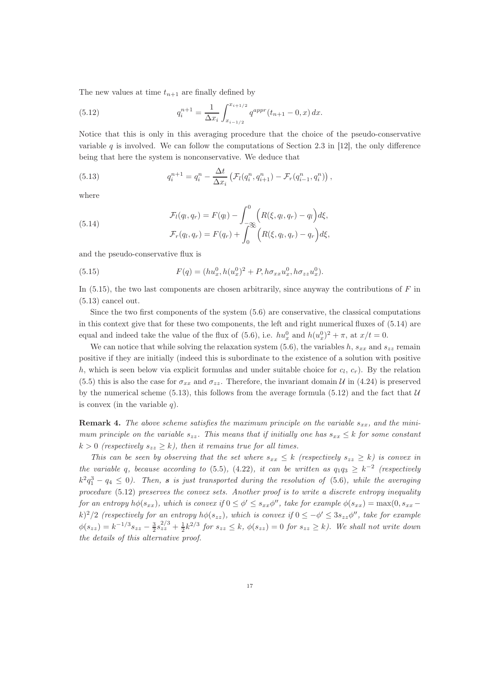The new values at time  $t_{n+1}$  are finally defined by

(5.12) 
$$
q_i^{n+1} = \frac{1}{\Delta x_i} \int_{x_{i-1/2}}^{x_{i+1/2}} q^{appr}(t_{n+1} - 0, x) dx.
$$

Notice that this is only in this averaging procedure that the choice of the pseudo-conservative variable q is involved. We can follow the computations of Section 2.3 in [12], the only difference being that here the system is nonconservative. We deduce that

(5.13) 
$$
q_i^{n+1} = q_i^n - \frac{\Delta t}{\Delta x_i} \left( \mathcal{F}_l(q_i^n, q_{i+1}^n) - \mathcal{F}_r(q_{i-1}^n, q_i^n) \right),
$$

where

(5.14) 
$$
\mathcal{F}_l(q_l, q_r) = F(q_l) - \int_{-\infty}^0 \left( R(\xi, q_l, q_r) - q_l \right) d\xi,
$$

$$
\mathcal{F}_r(q_l, q_r) = F(q_r) + \int_0^\infty \left( R(\xi, q_l, q_r) - q_r \right) d\xi,
$$

and the pseudo-conservative flux is

(5.15) 
$$
F(q) = (hu_x^0, h(u_x^0)^2 + P, h\sigma_{xx}u_x^0, h\sigma_{zz}u_x^0).
$$

In  $(5.15)$ , the two last components are chosen arbitrarily, since anyway the contributions of F in (5.13) cancel out.

Since the two first components of the system  $(5.6)$  are conservative, the classical computations in this context give that for these two components, the left and right numerical fluxes of (5.14) are equal and indeed take the value of the flux of (5.6), i.e.  $hu_x^0$  and  $h(u_x^0)^2 + \pi$ , at  $x/t = 0$ .

We can notice that while solving the relaxation system (5.6), the variables h,  $s_{xx}$  and  $s_{zz}$  remain positive if they are initially (indeed this is subordinate to the existence of a solution with positive h, which is seen below via explicit formulas and under suitable choice for  $c_l$ ,  $c_r$ ). By the relation (5.5) this is also the case for  $\sigma_{xx}$  and  $\sigma_{zz}$ . Therefore, the invariant domain U in (4.24) is preserved by the numerical scheme (5.13), this follows from the average formula (5.12) and the fact that  $U$ is convex (in the variable  $q$ ).

**Remark 4.** The above scheme satisfies the maximum principle on the variable  $s_{xx}$ , and the minimum principle on the variable  $s_{zz}$ . This means that if initially one has  $s_{xx} \leq k$  for some constant  $k > 0$  (respectively  $s_{zz} \geq k$ ), then it remains true for all times.

This can be seen by observing that the set where  $s_{xx} \leq k$  (respectively  $s_{zz} \geq k$ ) is convex in the variable q, because according to (5.5), (4.22), it can be written as  $q_1q_3 \geq k^{-2}$  (respectively  $k^2q_1^3 - q_4 \leq 0$ ). Then, s is just transported during the resolution of (5.6), while the averaging procedure (5.12) preserves the convex sets. Another proof is to write a discrete entropy inequality for an entropy  $h\phi(s_{xx})$ , which is convex if  $0 \le \phi' \le s_{xx}\phi''$ , take for example  $\phi(s_{xx}) = \max(0, s_{xx}$ k)<sup>2</sup>/2 (respectively for an entropy  $h\phi(s_{zz})$ , which is convex if  $0 \le -\phi' \le 3s_{zz}\phi''$ , take for example  $\phi(s_{zz}) = k^{-1/3} s_{zz} - \frac{3}{2} s_{zz}^{2/3} + \frac{1}{2} k^{2/3}$  for  $s_{zz} \leq k$ ,  $\phi(s_{zz}) = 0$  for  $s_{zz} \geq k$ ). We shall not write down the details of this alternative proof.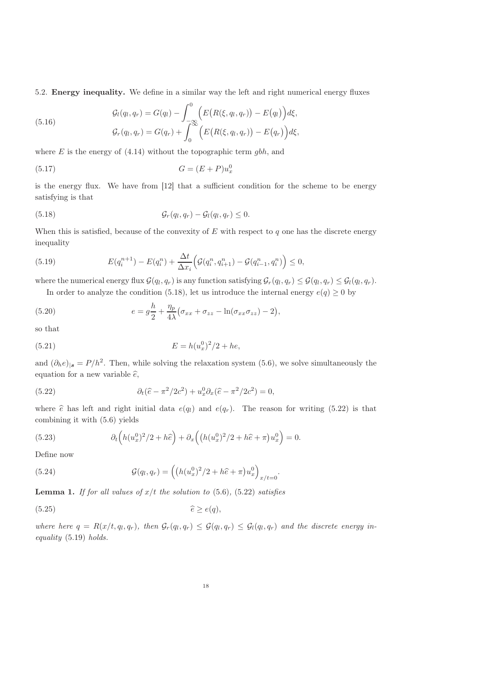5.2. Energy inequality. We define in a similar way the left and right numerical energy fluxes

(5.16) 
$$
\mathcal{G}_l(q_l, q_r) = G(q_l) - \int_{-\infty}^0 \left( E(R(\xi, q_l, q_r)) - E(q_l) \right) d\xi,
$$

$$
\mathcal{G}_r(q_l, q_r) = G(q_r) + \int_0^\infty \left( E(R(\xi, q_l, q_r)) - E(q_r) \right) d\xi,
$$

where  $E$  is the energy of  $(4.14)$  without the topographic term  $gbh$ , and

$$
(5.17)\t\t G = (E+P)u_x^0
$$

is the energy flux. We have from [12] that a sufficient condition for the scheme to be energy satisfying is that

(5.18) 
$$
\mathcal{G}_r(q_l, q_r) - \mathcal{G}_l(q_l, q_r) \leq 0.
$$

When this is satisfied, because of the convexity of  $E$  with respect to q one has the discrete energy inequality

(5.19) 
$$
E(q_i^{n+1}) - E(q_i^n) + \frac{\Delta t}{\Delta x_i} \Big( \mathcal{G}(q_i^n, q_{i+1}^n) - \mathcal{G}(q_{i-1}^n, q_i^n) \Big) \leq 0,
$$

where the numerical energy flux  $G(q_l, q_r)$  is any function satisfying  $G_r(q_l, q_r) \leq G(q_l, q_r) \leq G_l(q_l, q_r)$ . In order to analyze the condition (5.18), let us introduce the internal energy  $e(q) \geq 0$  by

(5.20) 
$$
e = g\frac{h}{2} + \frac{\eta_p}{4\lambda}(\sigma_{xx} + \sigma_{zz} - \ln(\sigma_{xx}\sigma_{zz}) - 2),
$$

so that

(5.21) 
$$
E = h(u_x^0)^2/2 + he,
$$

and  $(\partial_h e)_{|\mathbf{s}} = P/h^2$ . Then, while solving the relaxation system (5.6), we solve simultaneously the equation for a new variable  $\hat{e}$ ,

(5.22) 
$$
\partial_t(\hat{e} - \pi^2/2c^2) + u_x^0 \partial_x(\hat{e} - \pi^2/2c^2) = 0,
$$

where  $\hat{e}$  has left and right initial data  $e(q_l)$  and  $e(q_r)$ . The reason for writing (5.22) is that combining it with (5.6) yields

(5.23) 
$$
\partial_t \left( h(u_x^0)^2/2 + h\widehat{e} \right) + \partial_x \left( (h(u_x^0)^2/2 + h\widehat{e} + \pi)u_x^0 \right) = 0.
$$

Define now

(5.24) 
$$
\mathcal{G}(q_l, q_r) = \left( \left( h(u_x^0)^2 / 2 + h\hat{e} + \pi \right) u_x^0 \right)_{x/t=0}.
$$

**Lemma 1.** If for all values of  $x/t$  the solution to (5.6), (5.22) satisfies

$$
(5.25) \t\t\t\widehat{e} \ge e(q),
$$

where here  $q = R(x/t, q_l, q_r)$ , then  $\mathcal{G}_r(q_l, q_r) \leq \mathcal{G}(q_l, q_r) \leq \mathcal{G}_l(q_l, q_r)$  and the discrete energy inequality (5.19) holds.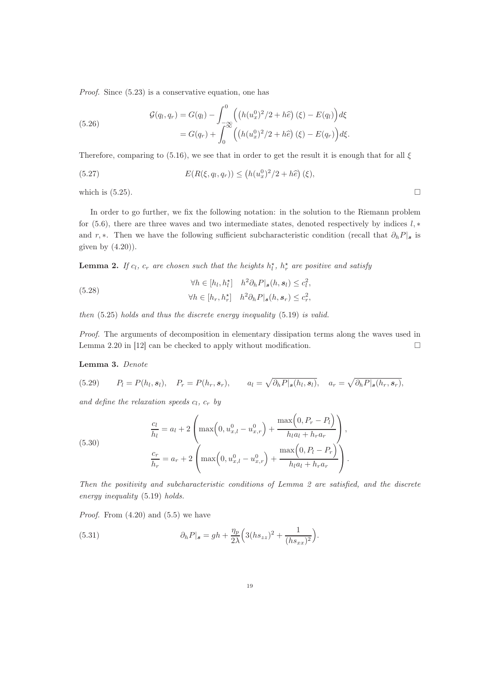Proof. Since (5.23) is a conservative equation, one has

(5.26) 
$$
\mathcal{G}(q_l, q_r) = G(q_l) - \int_{-\infty}^0 \left( \left( h(u_x^0)^2 / 2 + h \hat{e} \right) (\xi) - E(q_l) \right) d\xi \n= G(q_r) + \int_0^\infty \left( \left( h(u_x^0)^2 / 2 + h \hat{e} \right) (\xi) - E(q_r) \right) d\xi.
$$

Therefore, comparing to (5.16), we see that in order to get the result it is enough that for all  $\xi$ 

(5.27) 
$$
E(R(\xi, q_l, q_r)) \le (h(u_x^0)^2/2 + h\hat{e}) (\xi),
$$

which is  $(5.25)$ .

In order to go further, we fix the following notation: in the solution to the Riemann problem for (5.6), there are three waves and two intermediate states, denoted respectively by indices  $l, *$ and r, ∗. Then we have the following sufficient subcharacteristic condition (recall that  $\partial_h P|_{s}$  is given by  $(4.20)$ .

**Lemma 2.** If  $c_l$ ,  $c_r$  are chosen such that the heights  $h_l^*$ ,  $h_r^*$  are positive and satisfy

(5.28)  
\n
$$
\forall h \in [h_l, h_l^*] \quad h^2 \partial_h P|_{\mathbf{s}}(h, \mathbf{s}_l) \le c_l^2,
$$
\n
$$
\forall h \in [h_r, h_r^*] \quad h^2 \partial_h P|_{\mathbf{s}}(h, \mathbf{s}_r) \le c_r^2,
$$

then (5.25) holds and thus the discrete energy inequality (5.19) is valid.

Proof. The arguments of decomposition in elementary dissipation terms along the waves used in Lemma 2.20 in [12] can be checked to apply without modification.  $\square$ 

#### Lemma 3. Denote

(5.29) 
$$
P_l = P(h_l, s_l), \quad P_r = P(h_r, s_r), \qquad a_l = \sqrt{\partial_h P|_{\mathbf{s}}(h_l, s_l)}, \quad a_r = \sqrt{\partial_h P|_{\mathbf{s}}(h_r, s_r)},
$$

and define the relaxation speeds  $c_l$ ,  $c_r$  by

(5.30)  

$$
\frac{c_l}{h_l} = a_l + 2\left(\max\left(0, u_{x,l}^0 - u_{x,r}^0\right) + \frac{\max\left(0, P_r - P_l\right)}{h_l a_l + h_r a_r}\right),
$$

$$
\frac{c_r}{h_r} = a_r + 2\left(\max\left(0, u_{x,l}^0 - u_{x,r}^0\right) + \frac{\max\left(0, P_l - P_r\right)}{h_l a_l + h_r a_r}\right).
$$

Then the positivity and subcharacteristic conditions of Lemma 2 are satisfied, and the discrete energy inequality (5.19) holds.

*Proof.* From  $(4.20)$  and  $(5.5)$  we have

(5.31) 
$$
\partial_h P|_{\mathbf{s}} = gh + \frac{\eta_p}{2\lambda} \Big( 3(hs_{zz})^2 + \frac{1}{(hs_{xx})^2} \Big).
$$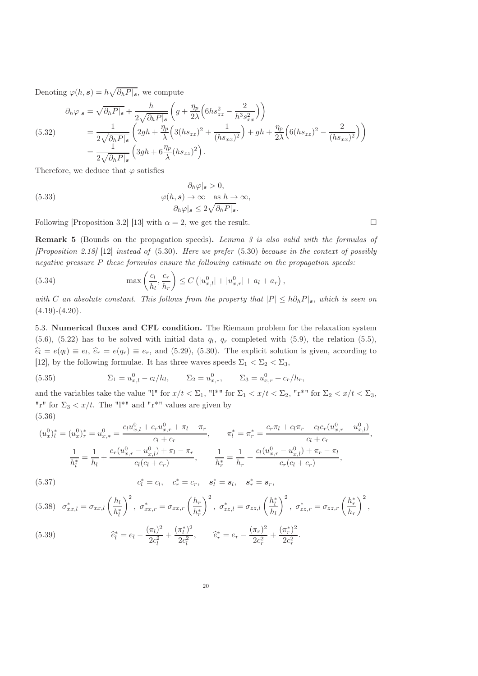Denoting  $\varphi(h, s) = h \sqrt{\partial_h P|_{s}},$  we compute

$$
\partial_h \varphi|_{\mathbf{s}} = \sqrt{\partial_h P|_{\mathbf{s}}} + \frac{h}{2\sqrt{\partial_h P|_{\mathbf{s}}}} \left( g + \frac{\eta_p}{2\lambda} \left( 6hs_{zz}^2 - \frac{2}{h^3 s_{xx}^2} \right) \right)
$$
  
(5.32)  

$$
= \frac{1}{2\sqrt{\partial_h P|_{\mathbf{s}}}} \left( 2gh + \frac{\eta_p}{\lambda} \left( 3(hs_{zz})^2 + \frac{1}{(hs_{xx})^2} \right) + gh + \frac{\eta_p}{2\lambda} \left( 6(hs_{zz})^2 - \frac{2}{(hs_{xx})^2} \right) \right)
$$

$$
= \frac{1}{2\sqrt{\partial_h P|_{\mathbf{s}}}} \left( 3gh + 6\frac{\eta_p}{\lambda} (hs_{zz})^2 \right).
$$

Therefore, we deduce that  $\varphi$  satisfies

(5.33) 
$$
\begin{aligned}\n\partial_h \varphi|_{\mathbf{s}} > 0, \\
\varphi(h, \mathbf{s}) > \infty \quad \text{as } h \to \infty, \\
\partial_h \varphi|_{\mathbf{s}} &\leq 2\sqrt{\partial_h P|_{\mathbf{s}}}.\n\end{aligned}
$$

Following [Proposition 3.2] [13] with  $\alpha = 2$ , we get the result.

**Remark 5** (Bounds on the propagation speeds). Lemma 3 is also valid with the formulas of  $[Proposition 2.18]$  [12] instead of (5.30). Here we prefer (5.30) because in the context of possibly negative pressure P these formulas ensure the following estimate on the propagation speeds:

(5.34) 
$$
\max\left(\frac{c_l}{h_l}, \frac{c_r}{h_r}\right) \le C\left(|u_{x,l}^0| + |u_{x,r}^0| + a_l + a_r\right),
$$

with C an absolute constant. This follows from the property that  $|P| \le h \partial_h P|_s$ , which is seen on  $(4.19)-(4.20).$ 

5.3. Numerical fluxes and CFL condition. The Riemann problem for the relaxation system  $(5.6)$ ,  $(5.22)$  has to be solved with initial data  $q_l$ ,  $q_r$  completed with  $(5.9)$ , the relation  $(5.5)$ ,  $\hat{e}_l = e(q_l) \equiv e_l, \, \hat{e}_r = e(q_r) \equiv e_r$ , and (5.29), (5.30). The explicit solution is given, according to [12], by the following formulae. It has three waves speeds  $\Sigma_1 < \Sigma_2 < \Sigma_3$ ,

(5.35) 
$$
\Sigma_1 = u_{x,l}^0 - c_l/h_l, \qquad \Sigma_2 = u_{x,*}^0, \qquad \Sigma_3 = u_{x,r}^0 + c_r/h_r,
$$

and the variables take the value "l" for  $x/t < \Sigma_1$ , "l<sup>\*"</sup> for  $\Sigma_1 < x/t < \Sigma_2$ , "r<sup>\*"</sup> for  $\Sigma_2 < x/t < \Sigma_3$ , "r" for  $\Sigma_3 < x/t$ . The "l<sup>\*"</sup> and "r<sup>\*"</sup> values are given by (5.36)

$$
(u_x^0)_l^* = (u_x^0)_r^* = u_{x,*}^0 = \frac{c_l u_{x,l}^0 + c_r u_{x,r}^0 + \pi_l - \pi_r}{c_l + c_r}, \qquad \pi_l^* = \pi_r^* = \frac{c_r \pi_l + c_l \pi_r - c_l c_r (u_{x,r}^0 - u_{x,l}^0)}{c_l + c_r},
$$

$$
\frac{1}{h_l^*} = \frac{1}{h_l} + \frac{c_r (u_{x,r}^0 - u_{x,l}^0) + \pi_l - \pi_r}{c_l (c_l + c_r)}, \qquad \frac{1}{h_r^*} = \frac{1}{h_r} + \frac{c_l (u_{x,r}^0 - u_{x,l}^0) + \pi_r - \pi_l}{c_r (c_l + c_r)},
$$

(5.37) 
$$
c_l^* = c_l, \quad c_r^* = c_r, \quad s_l^* = s_l, \quad s_r^* = s_r,
$$

$$
(5.38) \quad \sigma_{xx,l}^{*} = \sigma_{xx,l} \left(\frac{h_l}{h_l^{*}}\right)^2, \ \sigma_{xx,r}^{*} = \sigma_{xx,r} \left(\frac{h_r}{h_r^{*}}\right)^2, \ \sigma_{zz,l}^{*} = \sigma_{zz,l} \left(\frac{h_l^{*}}{h_l}\right)^2, \ \sigma_{zz,r}^{*} = \sigma_{zz,r} \left(\frac{h_r^{*}}{h_r}\right)^2,
$$
\n
$$
(\pi_l)^2 \quad (\pi_l^{*})^2 \quad (\pi_r^{*})^2 \quad (\pi_r^{*})^2 \quad (\pi_r^{*})^2
$$

(5.39) 
$$
\widehat{e}_l^* = e_l - \frac{(\pi_l)^2}{2c_l^2} + \frac{(\pi_l^*)^2}{2c_l^2}, \qquad \widehat{e}_r^* = e_r - \frac{(\pi_r)^2}{2c_r^2} + \frac{(\pi_r^*)^2}{2c_r^2}.
$$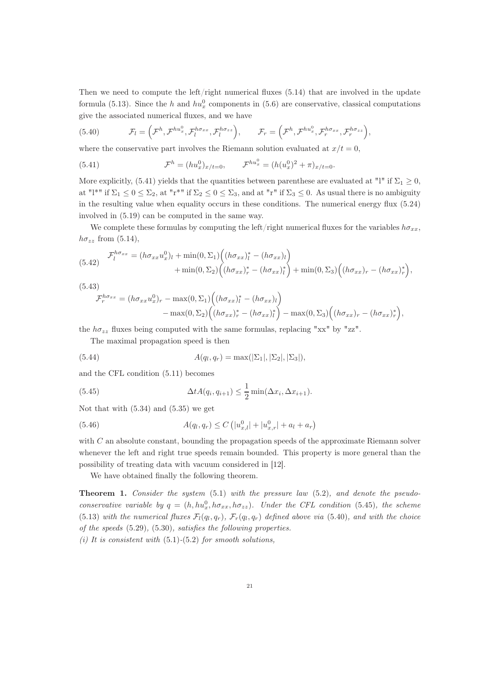Then we need to compute the left/right numerical fluxes  $(5.14)$  that are involved in the update formula (5.13). Since the h and  $hu_x^0$  components in (5.6) are conservative, classical computations give the associated numerical fluxes, and we have

(5.40) 
$$
\mathcal{F}_l = \left( \mathcal{F}^h, \mathcal{F}^{hu_x^0}, \mathcal{F}^{h\sigma_{xx}}_l, \mathcal{F}^{h\sigma_{zz}}_l \right), \qquad \mathcal{F}_r = \left( \mathcal{F}^h, \mathcal{F}^{hu_x^0}, \mathcal{F}^{h\sigma_{xx}}_r, \mathcal{F}^{h\sigma_{zz}}_r \right),
$$

where the conservative part involves the Riemann solution evaluated at  $x/t = 0$ ,

(5.41) 
$$
\mathcal{F}^h = (hu_x^0)_{x/t=0}, \qquad \mathcal{F}^{hu_x^0} = (h(u_x^0)^2 + \pi)_{x/t=0}.
$$

More explicitly, (5.41) yields that the quantities between parenthese are evaluated at "l" if  $\Sigma_1 \geq 0$ , at "l<sup>\*</sup>" if  $\Sigma_1 \leq 0 \leq \Sigma_2$ , at "r<sup>\*"</sup> if  $\Sigma_2 \leq 0 \leq \Sigma_3$ , and at "r" if  $\Sigma_3 \leq 0$ . As usual there is no ambiguity in the resulting value when equality occurs in these conditions. The numerical energy flux (5.24) involved in (5.19) can be computed in the same way.

We complete these formulas by computing the left/right numerical fluxes for the variables  $h\sigma_{xx}$ ,  $h\sigma_{zz}$  from (5.14),

$$
(5.42) \quad \mathcal{F}_l^{h\sigma_{xx}} = (h\sigma_{xx}u_x^0)_l + \min(0,\Sigma_1) \Big( (h\sigma_{xx})_l^* - (h\sigma_{xx})_l \Big) + \min(0,\Sigma_2) \Big( (h\sigma_{xx})_r^* - (h\sigma_{xx})_l^* \Big) + \min(0,\Sigma_3) \Big( (h\sigma_{xx})_r - (h\sigma_{xx})_r^* \Big),
$$

(5.43)

$$
\mathcal{F}_r^{h\sigma_{xx}} = (h\sigma_{xx}u_x^0)_r - \max(0,\Sigma_1) \Big( (h\sigma_{xx})_l^* - (h\sigma_{xx})_l \Big) - \max(0,\Sigma_2) \Big( (h\sigma_{xx})_r^* - (h\sigma_{xx})_l^* \Big) - \max(0,\Sigma_3) \Big( (h\sigma_{xx})_r - (h\sigma_{xx})_r^* \Big),
$$

the  $h\sigma_{zz}$  fluxes being computed with the same formulas, replacing "xx" by "zz".

The maximal propagation speed is then

(5.44) 
$$
A(q_l, q_r) = \max(|\Sigma_1|, |\Sigma_2|, |\Sigma_3|),
$$

and the CFL condition (5.11) becomes

(5.45) 
$$
\Delta t A(q_i, q_{i+1}) \leq \frac{1}{2} \min(\Delta x_i, \Delta x_{i+1}).
$$

Not that with (5.34) and (5.35) we get

(5.46) 
$$
A(q_l, q_r) \leq C \left( |u_{x,l}^0| + |u_{x,r}^0| + a_l + a_r \right)
$$

with  $C$  an absolute constant, bounding the propagation speeds of the approximate Riemann solver whenever the left and right true speeds remain bounded. This property is more general than the possibility of treating data with vacuum considered in [12].

We have obtained finally the following theorem.

Theorem 1. Consider the system  $(5.1)$  with the pressure law  $(5.2)$ , and denote the pseudoconservative variable by  $q = (h, hu_x^0, h\sigma_{xx}, h\sigma_{zz})$ . Under the CFL condition (5.45), the scheme (5.13) with the numerical fluxes  $\mathcal{F}_l(q_l,q_r)$ ,  $\mathcal{F}_r(q_l,q_r)$  defined above via (5.40), and with the choice of the speeds (5.29), (5.30), satisfies the following properties.

(i) It is consistent with  $(5.1)-(5.2)$  for smooth solutions,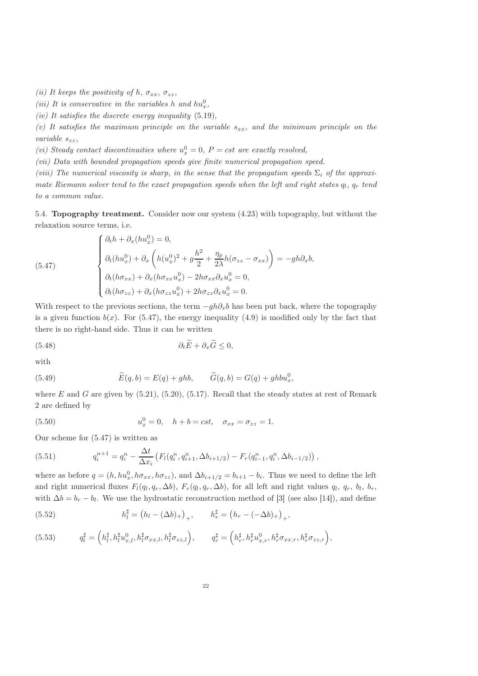- (ii) It keeps the positivity of h,  $\sigma_{xx}$ ,  $\sigma_{zz}$ ,
- (iii) It is conservative in the variables h and  $hu_x^0$ ,
- (iv) It satisfies the discrete energy inequality  $(5.19)$ ,

(v) It satisfies the maximum principle on the variable  $s_{xx}$ , and the minimum principle on the variable  $s_{zz}$ ,

(vi) Steady contact discontinuities where  $u_x^0 = 0$ ,  $P = cst$  are exactly resolved,

(vii) Data with bounded propagation speeds give finite numerical propagation speed.

(viii) The numerical viscosity is sharp, in the sense that the propagation speeds  $\Sigma_i$  of the approximate Riemann solver tend to the exact propagation speeds when the left and right states  $q_l$ ,  $q_r$  tend to a common value.

5.4. Topography treatment. Consider now our system (4.23) with topography, but without the relaxation source terms, i.e.

(5.47)

$$
\begin{cases}\n\partial_t h + \partial_x (h u_x^0) = 0, \\
\partial_t (h u_x^0) + \partial_x \left( h (u_x^0)^2 + g \frac{h^2}{2} + \frac{\eta_p}{2\lambda} h (\sigma_{zz} - \sigma_{xx}) \right) = -gh \partial_x b, \\
\partial_t (h \sigma_{xx}) + \partial_x (h \sigma_{xx} u_x^0) - 2h \sigma_{xx} \partial_x u_x^0 = 0, \\
\partial_t (h \sigma_{zz}) + \partial_x (h \sigma_{zz} u_x^0) + 2h \sigma_{zz} \partial_x u_x^0 = 0.\n\end{cases}
$$

With respect to the previous sections, the term  $-qh\partial_xb$  has been put back, where the topography is a given function  $b(x)$ . For (5.47), the energy inequality (4.9) is modified only by the fact that there is no right-hand side. Thus it can be written

(5.48) 
$$
\partial_t \tilde{E} + \partial_x \tilde{G} \leq 0,
$$

with

(5.49) 
$$
\widetilde{E}(q,b) = E(q) + ghb, \qquad \widetilde{G}(q,b) = G(q) + ghbu_x^0,
$$

where E and G are given by  $(5.21)$ ,  $(5.20)$ ,  $(5.17)$ . Recall that the steady states at rest of Remark 2 are defined by

(5.50) 
$$
u_x^0 = 0, \quad h + b = cst, \quad \sigma_{xx} = \sigma_{zz} = 1.
$$

Our scheme for (5.47) is written as

(5.51) 
$$
q_i^{n+1} = q_i^n - \frac{\Delta t}{\Delta x_i} \left( F_l(q_i^n, q_{i+1}^n, \Delta b_{i+1/2}) - F_r(q_{i-1}^n, q_i^n, \Delta b_{i-1/2}) \right),
$$

where as before  $q = (h, hu_x^0, h\sigma_{xx}, h\sigma_{zz})$ , and  $\Delta b_{i+1/2} = b_{i+1} - b_i$ . Thus we need to define the left and right numerical fluxes  $F_l(q_l, q_r, \Delta b)$ ,  $F_r(q_l, q_r, \Delta b)$ , for all left and right values  $q_l, q_r, b_l, b_r$ , with  $\Delta b = b_r - b_l$ . We use the hydrostatic reconstruction method of [3] (see also [14]), and define

(5.52) 
$$
h_l^{\sharp} = (h_l - (\Delta b)_{+})_{+}, \qquad h_r^{\sharp} = (h_r - (-\Delta b)_{+})_{+},
$$

$$
(5.53) \t q_l^{\sharp} = \left(h_l^{\sharp}, h_l^{\sharp} u_{x,l}^0, h_l^{\sharp} \sigma_{xx,l}, h_l^{\sharp} \sigma_{zz,l}\right), \t q_r^{\sharp} = \left(h_r^{\sharp}, h_r^{\sharp} u_{x,r}^0, h_r^{\sharp} \sigma_{xx,r}, h_r^{\sharp} \sigma_{zz,r}\right),
$$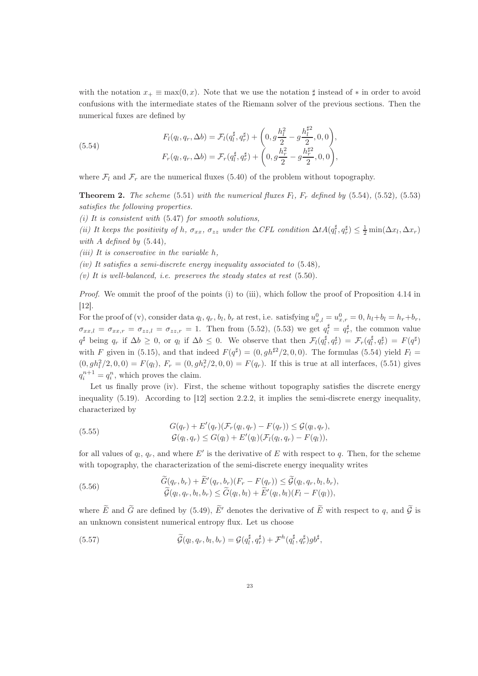with the notation  $x_+ \equiv \max(0, x)$ . Note that we use the notation  $\sharp$  instead of  $*$  in order to avoid confusions with the intermediate states of the Riemann solver of the previous sections. Then the numerical fuxes are defined by

(5.54)  

$$
F_l(q_l, q_r, \Delta b) = \mathcal{F}_l(q_l^{\sharp}, q_r^{\sharp}) + \left(0, g \frac{h_l^2}{2} - g \frac{h_l^{\sharp 2}}{2}, 0, 0\right),
$$

$$
F_r(q_l, q_r, \Delta b) = \mathcal{F}_r(q_l^{\sharp}, q_r^{\sharp}) + \left(0, g \frac{h_r^2}{2} - g \frac{h_r^{\sharp 2}}{2}, 0, 0\right),
$$

where  $\mathcal{F}_l$  and  $\mathcal{F}_r$  are the numerical fluxes (5.40) of the problem without topography.

**Theorem 2.** The scheme (5.51) with the numerical fluxes  $F_l$ ,  $F_r$  defined by (5.54), (5.52), (5.53) satisfies the following properties.

(i) It is consistent with  $(5.47)$  for smooth solutions,

(ii) It keeps the positivity of h,  $\sigma_{xx}$ ,  $\sigma_{zz}$  under the CFL condition  $\Delta t A(q_i^{\sharp}, q_r^{\sharp}) \leq \frac{1}{2} \min(\Delta x_l, \Delta x_r)$ with  $A$  defined by  $(5.44)$ ,

(*iii*) It is conservative in the variable  $h$ .

(iv) It satisfies a semi-discrete energy inequality associated to  $(5.48)$ ,

(v) It is well-balanced, i.e. preserves the steady states at rest  $(5.50)$ .

Proof. We ommit the proof of the points (i) to (iii), which follow the proof of Proposition 4.14 in [12].

For the proof of (v), consider data  $q_l, q_r, b_l, b_r$  at rest, i.e. satisfying  $u_{x,l}^0 = u_{x,r}^0 = 0$ ,  $h_l + b_l = h_r + b_r$ ,  $\sigma_{xx,l} = \sigma_{xx,r} = \sigma_{zz,l} = \sigma_{zz,r} = 1$ . Then from (5.52), (5.53) we get  $q_l^{\sharp} = q_r^{\sharp}$ , the common value  $q^{\sharp}$  being  $q_r$  if  $\Delta b \geq 0$ , or  $q_l$  if  $\Delta b \leq 0$ . We observe that then  $\mathcal{F}_l(q_l^{\sharp}, q_r^{\sharp}) = \mathcal{F}_r(q_l^{\sharp}, q_r^{\sharp}) = F(q^{\sharp})$ with F given in (5.15), and that indeed  $F(q^{\sharp}) = (0, gh^{\sharp 2}/2, 0, 0)$ . The formulas (5.54) yield  $F_l =$  $(0, gh<sub>l</sub><sup>2</sup>/2, 0, 0) = F(q<sub>l</sub>), F<sub>r</sub> = (0, gh<sub>r</sub><sup>2</sup>/2, 0, 0) = F(q<sub>r</sub>).$  If this is true at all interfaces, (5.51) gives  $q_i^{n+1} = q_i^n$ , which proves the claim.

Let us finally prove (iv). First, the scheme without topography satisfies the discrete energy inequality (5.19). According to [12] section 2.2.2, it implies the semi-discrete energy inequality, characterized by

(5.55) 
$$
G(q_r) + E'(q_r)(\mathcal{F}_r(q_l, q_r) - F(q_r)) \leq \mathcal{G}(q_l, q_r),
$$

$$
\mathcal{G}(q_l, q_r) \leq G(q_l) + E'(q_l)(\mathcal{F}_l(q_l, q_r) - F(q_l)),
$$

for all values of  $q_l, q_r$ , and where E' is the derivative of E with respect to q. Then, for the scheme with topography, the characterization of the semi-discrete energy inequality writes

(5.56) 
$$
\begin{aligned}\n\widetilde{G}(q_r, b_r) + \widetilde{E}'(q_r, b_r)(F_r - F(q_r)) &\leq \widetilde{\mathcal{G}}(q_l, q_r, b_l, b_r), \\
\widetilde{\mathcal{G}}(q_l, q_r, b_l, b_r) &\leq \widetilde{G}(q_l, b_l) + \widetilde{E}'(q_l, b_l)(F_l - F(q_l)),\n\end{aligned}
$$

where  $\widetilde{E}$  and  $\widetilde{G}$  are defined by (5.49),  $\widetilde{E}'$  denotes the derivative of  $\widetilde{E}$  with respect to q, and  $\widetilde{G}$  is an unknown consistent numerical entropy flux. Let us choose

(5.57) 
$$
\widetilde{\mathcal{G}}(q_l, q_r, b_l, b_r) = \mathcal{G}(q_l^{\sharp}, q_r^{\sharp}) + \mathcal{F}^h(q_l^{\sharp}, q_r^{\sharp})gb^{\sharp},
$$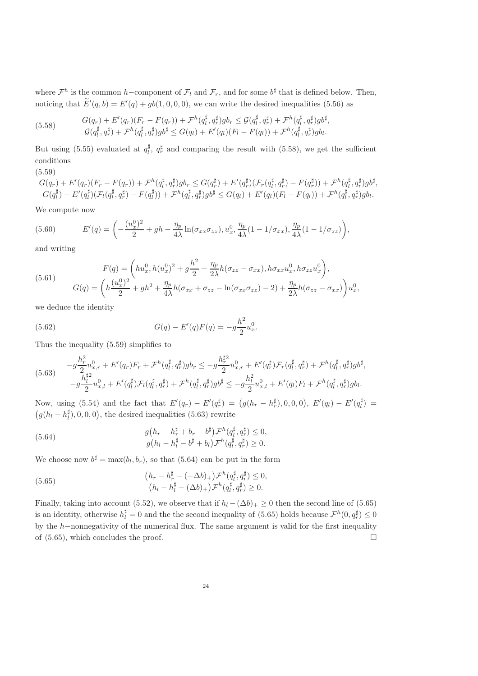where  $\mathcal{F}^h$  is the common h–component of  $\mathcal{F}_l$  and  $\mathcal{F}_r$ , and for some  $b^{\sharp}$  that is defined below. Then, noticing that  $E'(q, b) = E'(q) + gb(1, 0, 0, 0)$ , we can write the desired inequalities (5.56) as

(5.58) 
$$
G(q_r) + E'(q_r)(F_r - F(q_r)) + \mathcal{F}^h(q_l^{\sharp}, q_r^{\sharp})gb_r \leq \mathcal{G}(q_l^{\sharp}, q_r^{\sharp}) + \mathcal{F}^h(q_l^{\sharp}, q_r^{\sharp})gb^{\sharp},
$$

$$
\mathcal{G}(q_l^{\sharp}, q_r^{\sharp}) + \mathcal{F}^h(q_l^{\sharp}, q_r^{\sharp})gb^{\sharp} \leq G(q_l) + E'(q_l)(F_l - F(q_l)) + \mathcal{F}^h(q_l^{\sharp}, q_r^{\sharp})gb_l.
$$

But using (5.55) evaluated at  $q_l^{\sharp}$ ,  $q_r^{\sharp}$  and comparing the result with (5.58), we get the sufficient conditions

### (5.59)

 $G(q_r)+E'(q_r)(F_r-F(q_r))+\mathcal{F}^h(q^\sharp_t,q^\sharp_r)gb_r\leq G(q^\sharp_r)+E'(q^\sharp_r)(\mathcal{F}_r(q^\sharp_t,q^\sharp_r)-F(q^\sharp_r))+\mathcal{F}^h(q^\sharp_t,q^\sharp_r)gb^\sharp,$  $\left( \frac{1}{l_1}, \frac{q_r}{g} \right)$   $\left( \frac{q_r}{g} \right)$   $\left( \frac{q_r}{g} \right)$   $\left( \frac{q_r}{g} \right)$   $\left( \frac{q_r}{g} \right)$   $\left( \frac{q_r}{g} \right)$   $\left( \frac{q_r}{g} \right)$   $\left( \frac{q_r}{g} \right)$  $G(q_l^{\sharp})+E'(q_l^{\sharp})(\mathcal{F}_l(q_l^{\sharp},q_r^{\sharp})-F(q_l^{\sharp}))+\mathcal{F}^h(q_l^{\sharp},q_r^{\sharp})gb^{\sharp} \leq G(q_l)+E'(q_l)(F_l-F(q_l))+\mathcal{F}^h(q_l^{\sharp},q_r^{\sharp})gb_l.$ 

We compute now

(5.60) 
$$
E'(q) = \left(-\frac{(u_x^0)^2}{2} + gh - \frac{\eta_p}{4\lambda}\ln(\sigma_{xx}\sigma_{zz}), u_x^0, \frac{\eta_p}{4\lambda}(1 - 1/\sigma_{xx}), \frac{\eta_p}{4\lambda}(1 - 1/\sigma_{zz})\right),
$$

and writing

(5.61) 
$$
F(q) = \left(hu_x^0, h(u_x^0)^2 + g\frac{h^2}{2} + \frac{\eta_p}{2\lambda}h(\sigma_{zz} - \sigma_{xx}), h\sigma_{xx}u_x^0, h\sigma_{zz}u_x^0\right),
$$

$$
G(q) = \left(h\frac{(u_x^0)^2}{2} + gh^2 + \frac{\eta_p}{4\lambda}h(\sigma_{xx} + \sigma_{zz} - \ln(\sigma_{xx}\sigma_{zz}) - 2) + \frac{\eta_p}{2\lambda}h(\sigma_{zz} - \sigma_{xx})\right)u_x^0,
$$

we deduce the identity

(5.62) 
$$
G(q) - E'(q)F(q) = -g\frac{h^2}{2}u_x^0.
$$

Thus the inequality (5.59) simplifies to

$$
(5.63) \qquad -g\frac{h_r^2}{2}u_{x,r}^0 + E'(q_r)F_r + \mathcal{F}^h(q_l^{\sharp}, q_r^{\sharp})gb_r \leq -g\frac{h_r^{\sharp 2}}{2}u_{x,r}^0 + E'(q_r^{\sharp})\mathcal{F}_r(q_l^{\sharp}, q_r^{\sharp}) + \mathcal{F}^h(q_l^{\sharp}, q_r^{\sharp})gb^{\sharp},
$$
  

$$
-g\frac{h_l^{\sharp 2}}{2}u_{x,l}^0 + E'(q_l^{\sharp})\mathcal{F}_l(q_l^{\sharp}, q_r^{\sharp}) + \mathcal{F}^h(q_l^{\sharp}, q_r^{\sharp})gb^{\sharp} \leq -g\frac{h_l^2}{2}u_{x,l}^0 + E'(q_l)F_l + \mathcal{F}^h(q_l^{\sharp}, q_r^{\sharp})gb_l.
$$

Now, using (5.54) and the fact that  $E'(q_r) - E'(q_r^{\sharp}) = (g(h_r - h_r^{\sharp}), 0, 0, 0), E'(q_l) - E'(q_l^{\sharp}) =$  $(g(h_l - h_l^{\sharp}), 0, 0, 0)$ , the desired inequalities (5.63) rewrite

(5.64) 
$$
g(h_r - h_r^{\sharp} + b_r - b^{\sharp}) \mathcal{F}^h(q_l^{\sharp}, q_r^{\sharp}) \leq 0, g(h_l - h_l^{\sharp} - b^{\sharp} + b_l) \mathcal{F}^h(q_l^{\sharp}, q_r^{\sharp}) \geq 0.
$$

We choose now  $b^{\sharp} = \max(b_l, b_r)$ , so that (5.64) can be put in the form

(5.65) 
$$
(h_r - h_r^{\sharp} - (-\Delta b)_{+}) \mathcal{F}^h(q_l^{\sharp}, q_r^{\sharp}) \leq 0, (h_l - h_l^{\sharp} - (\Delta b)_{+}) \mathcal{F}^h(q_l^{\sharp}, q_r^{\sharp}) \geq 0.
$$

Finally, taking into account (5.52), we observe that if  $h_l - (\Delta b)_+ \geq 0$  then the second line of (5.65) is an identity, otherwise  $h_l^{\sharp} = 0$  and the the second inequality of (5.65) holds because  $\mathcal{F}^h(0, q_r^{\sharp}) \leq 0$ by the h−nonnegativity of the numerical flux. The same argument is valid for the first inequality of  $(5.65)$ , which concludes the proof. of (5.65), which concludes the proof.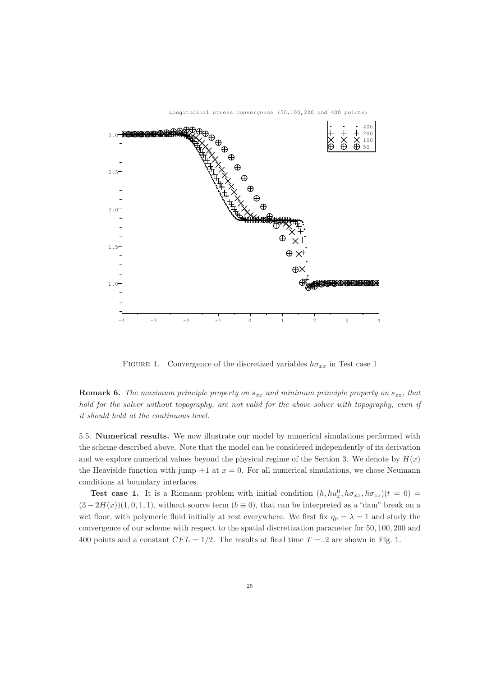

FIGURE 1. Convergence of the discretized variables  $h\sigma_{xx}$  in Test case 1

**Remark 6.** The maximum principle property on  $s_{xx}$  and minimum principle property on  $s_{zz}$ , that hold for the solver without topography, are not valid for the above solver with topography, even if it should hold at the continuous level.

5.5. Numerical results. We now illustrate our model by numerical simulations performed with the scheme described above. Note that the model can be considered independently of its derivation and we explore numerical values beyond the physical regime of the Section 3. We denote by  $H(x)$ the Heaviside function with jump  $+1$  at  $x = 0$ . For all numerical simulations, we chose Neumann conditions at boundary interfaces.

**Test case 1.** It is a Riemann problem with initial condition  $(h, hu_x^0, h\sigma_{xx}, h\sigma_{zz})(t=0)$  $(3-2H(x))(1,0,1,1)$ , without source term  $(b \equiv 0)$ , that can be interpreted as a "dam" break on a wet floor, with polymeric fluid initially at rest everywhere. We first fix  $\eta_p = \lambda = 1$  and study the convergence of our scheme with respect to the spatial discretization parameter for 50, 100, 200 and 400 points and a constant  $CFL = 1/2$ . The results at final time  $T = .2$  are shown in Fig. 1.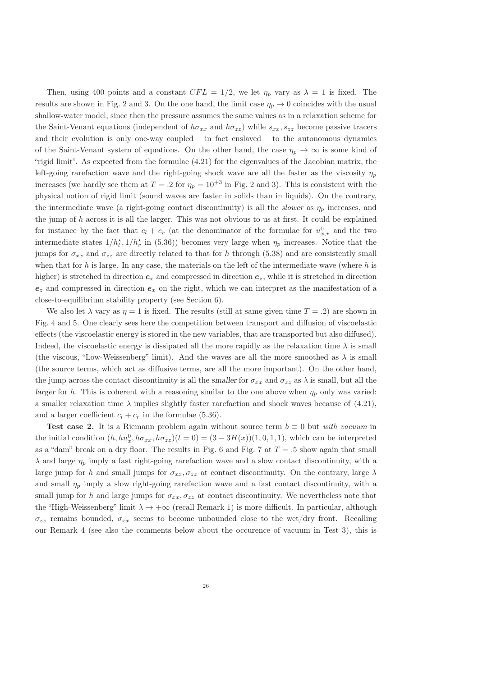Then, using 400 points and a constant  $CFL = 1/2$ , we let  $\eta_p$  vary as  $\lambda = 1$  is fixed. The results are shown in Fig. 2 and 3. On the one hand, the limit case  $\eta_p \to 0$  coincides with the usual shallow-water model, since then the pressure assumes the same values as in a relaxation scheme for the Saint-Venant equations (independent of  $h\sigma_{xx}$  and  $h\sigma_{zz}$ ) while  $s_{xx}, s_{zz}$  become passive tracers and their evolution is only one-way coupled – in fact enslaved – to the autonomous dynamics of the Saint-Venant system of equations. On the other hand, the case  $\eta_p \to \infty$  is some kind of "rigid limit". As expected from the formulae (4.21) for the eigenvalues of the Jacobian matrix, the left-going rarefaction wave and the right-going shock wave are all the faster as the viscosity  $\eta_p$ increases (we hardly see them at  $T = .2$  for  $\eta_p = 10^{+3}$  in Fig. 2 and 3). This is consistent with the physical notion of rigid limit (sound waves are faster in solids than in liquids). On the contrary, the intermediate wave (a right-going contact discontinuity) is all the *slower* as  $\eta_p$  increases, and the jump of  $h$  across it is all the larger. This was not obvious to us at first. It could be explained for instance by the fact that  $c_l + c_r$  (at the denominator of the formulae for  $u_{x,\star}^0$  and the two intermediate states  $1/h_l^*$ ,  $1/h_r^*$  in (5.36)) becomes very large when  $\eta_p$  increases. Notice that the jumps for  $\sigma_{xx}$  and  $\sigma_{zz}$  are directly related to that for h through (5.38) and are consistently small when that for h is large. In any case, the materials on the left of the intermediate wave (where  $h$  is higher) is stretched in direction  $e_x$  and compressed in direction  $e_z$ , while it is stretched in direction  $e_z$  and compressed in direction  $e_x$  on the right, which we can interpret as the manifestation of a close-to-equilibrium stability property (see Section 6).

We also let  $\lambda$  vary as  $\eta = 1$  is fixed. The results (still at same given time  $T = .2$ ) are shown in Fig. 4 and 5. One clearly sees here the competition between transport and diffusion of viscoelastic effects (the viscoelastic energy is stored in the new variables, that are transported but also diffused). Indeed, the viscoelastic energy is dissipated all the more rapidly as the relaxation time  $\lambda$  is small (the viscous, "Low-Weissenberg" limit). And the waves are all the more smoothed as  $\lambda$  is small (the source terms, which act as diffusive terms, are all the more important). On the other hand, the jump across the contact discontinuity is all the smaller for  $\sigma_{xx}$  and  $\sigma_{zz}$  as  $\lambda$  is small, but all the larger for h. This is coherent with a reasoning similar to the one above when  $\eta_p$  only was varied: a smaller relaxation time  $\lambda$  implies slightly faster rarefaction and shock waves because of (4.21), and a larger coefficient  $c_l + c_r$  in the formulae (5.36).

Test case 2. It is a Riemann problem again without source term  $b \equiv 0$  but with vacuum in the initial condition  $(h, hu_x^0, h\sigma_{xx}, h\sigma_{zz})(t=0) = (3-3H(x))(1,0,1,1)$ , which can be interpreted as a "dam" break on a dry floor. The results in Fig. 6 and Fig. 7 at  $T = .5$  show again that small  $\lambda$  and large  $\eta_p$  imply a fast right-going rarefaction wave and a slow contact discontinuity, with a large jump for h and small jumps for  $\sigma_{xx}, \sigma_{zz}$  at contact discontinuity. On the contrary, large  $\lambda$ and small  $\eta_p$  imply a slow right-going rarefaction wave and a fast contact discontinuity, with a small jump for h and large jumps for  $\sigma_{xx}$ ,  $\sigma_{zz}$  at contact discontinuity. We nevertheless note that the "High-Weissenberg" limit  $\lambda \to +\infty$  (recall Remark 1) is more difficult. In particular, although  $\sigma_{zz}$  remains bounded,  $\sigma_{xx}$  seems to become unbounded close to the wet/dry front. Recalling our Remark 4 (see also the comments below about the occurence of vacuum in Test 3), this is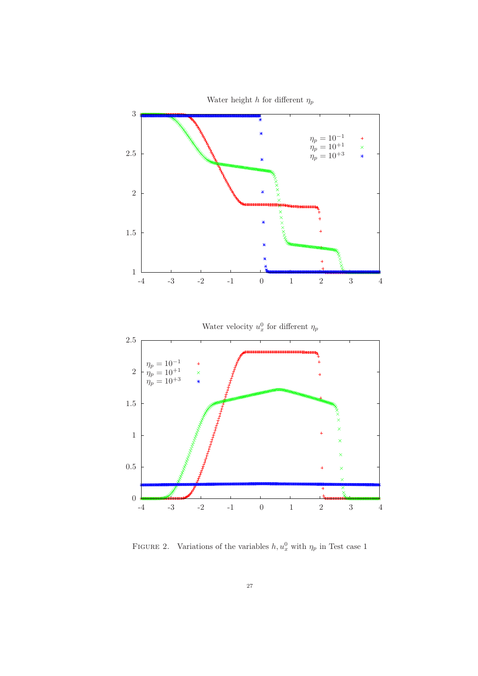

Water height h for different  $\eta_p$ 

FIGURE 2. Variations of the variables  $h, u_x^0$  with  $\eta_p$  in Test case 1

-4 -3 -2 -1 0 1 2 3 4

 $0 \frac{1}{-4}$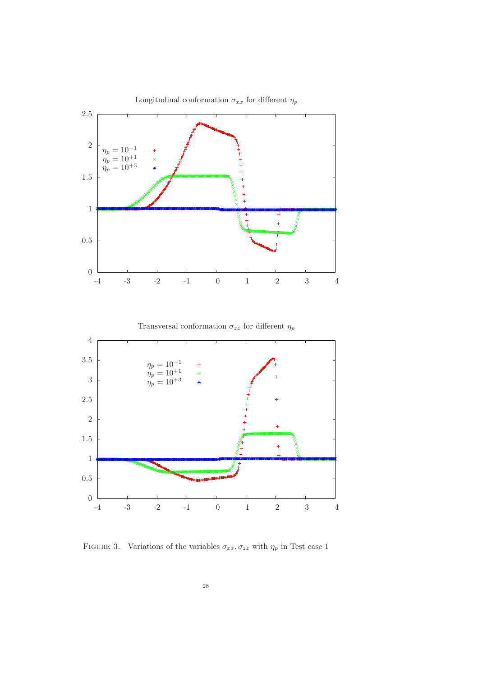

FIGURE 3. Variations of the variables  $\sigma_{xx}, \sigma_{zz}$  with  $\eta_p$  in Test case 1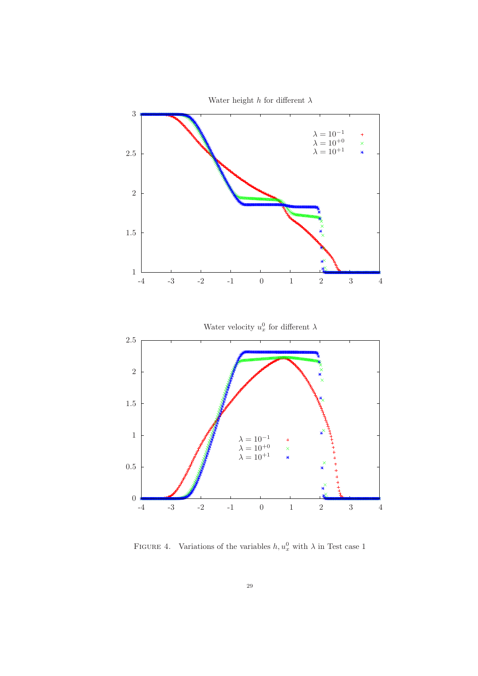

FIGURE 4. Variations of the variables  $h, u_x^0$  with  $\lambda$  in Test case 1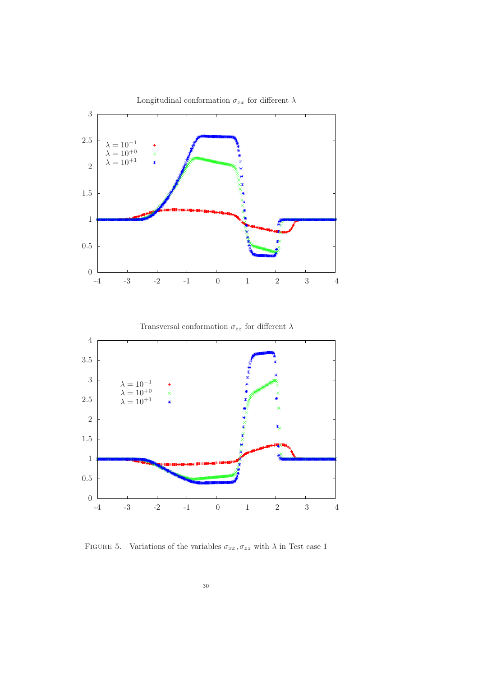

FIGURE 5. Variations of the variables  $\sigma_{xx}, \sigma_{zz}$  with  $\lambda$  in Test case 1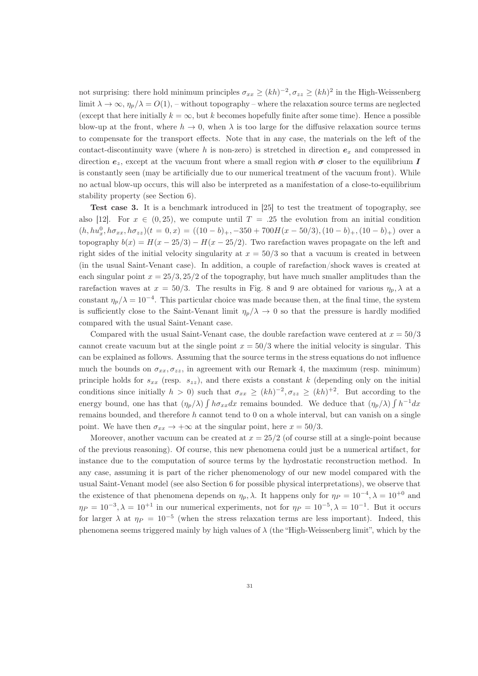not surprising: there hold minimum principles  $\sigma_{xx} \ge (kh)^{-2}, \sigma_{zz} \ge (kh)^2$  in the High-Weissenberg limit  $\lambda \to \infty$ ,  $\eta_p/\lambda = O(1)$ , – without topography – where the relaxation source terms are neglected (except that here initially  $k = \infty$ , but k becomes hopefully finite after some time). Hence a possible blow-up at the front, where  $h \to 0$ , when  $\lambda$  is too large for the diffusive relaxation source terms to compensate for the transport effects. Note that in any case, the materials on the left of the contact-discontinuity wave (where h is non-zero) is stretched in direction  $e_x$  and compressed in direction  $e_z$ , except at the vacuum front where a small region with  $\sigma$  closer to the equilibrium I is constantly seen (may be artificially due to our numerical treatment of the vacuum front). While no actual blow-up occurs, this will also be interpreted as a manifestation of a close-to-equilibrium stability property (see Section 6).

Test case 3. It is a benchmark introduced in [25] to test the treatment of topography, see also [12]. For  $x \in (0, 25)$ , we compute until  $T = .25$  the evolution from an initial condition  $(h, hu_x^0, h\sigma_{xx}, h\sigma_{zz})(t = 0, x) = ((10 - b)_+, -350 + 700H(x - 50/3), (10 - b)_+, (10 - b)_+)$  over a topography  $b(x) = H(x - 25/3) - H(x - 25/2)$ . Two rarefaction waves propagate on the left and right sides of the initial velocity singularity at  $x = 50/3$  so that a vacuum is created in between (in the usual Saint-Venant case). In addition, a couple of rarefaction/shock waves is created at each singular point  $x = 25/3$ ,  $25/2$  of the topography, but have much smaller amplitudes than the rarefaction waves at  $x = 50/3$ . The results in Fig. 8 and 9 are obtained for various  $\eta_p$ ,  $\lambda$  at a constant  $\eta_p/\lambda = 10^{-4}$ . This particular choice was made because then, at the final time, the system is sufficiently close to the Saint-Venant limit  $\eta_p/\lambda \to 0$  so that the pressure is hardly modified compared with the usual Saint-Venant case.

Compared with the usual Saint-Venant case, the double rarefaction wave centered at  $x = 50/3$ cannot create vacuum but at the single point  $x = 50/3$  where the initial velocity is singular. This can be explained as follows. Assuming that the source terms in the stress equations do not influence much the bounds on  $\sigma_{xx}, \sigma_{zz}$ , in agreement with our Remark 4, the maximum (resp. minimum) principle holds for  $s_{xx}$  (resp.  $s_{zz}$ ), and there exists a constant k (depending only on the initial conditions since initially  $h > 0$ ) such that  $\sigma_{xx} \ge (kh)^{-2}, \sigma_{zz} \ge (kh)^{+2}$ . But according to the energy bound, one has that  $(\eta_p/\lambda) \int h \sigma_{xx} dx$  remains bounded. We deduce that  $(\eta_p/\lambda) \int h^{-1} dx$ remains bounded, and therefore  $h$  cannot tend to  $0$  on a whole interval, but can vanish on a single point. We have then  $\sigma_{xx} \rightarrow +\infty$  at the singular point, here  $x = 50/3$ .

Moreover, another vacuum can be created at  $x = 25/2$  (of course still at a single-point because of the previous reasoning). Of course, this new phenomena could just be a numerical artifact, for instance due to the computation of source terms by the hydrostatic reconstruction method. In any case, assuming it is part of the richer phenomenology of our new model compared with the usual Saint-Venant model (see also Section 6 for possible physical interpretations), we observe that the existence of that phenomena depends on  $\eta_p$ ,  $\lambda$ . It happens only for  $\eta_P = 10^{-4}$ ,  $\lambda = 10^{+0}$  and  $\eta_P = 10^{-3}, \lambda = 10^{+1}$  in our numerical experiments, not for  $\eta_P = 10^{-5}, \lambda = 10^{-1}$ . But it occurs for larger  $\lambda$  at  $\eta_P = 10^{-5}$  (when the stress relaxation terms are less important). Indeed, this phenomena seems triggered mainly by high values of  $\lambda$  (the "High-Weissenberg limit", which by the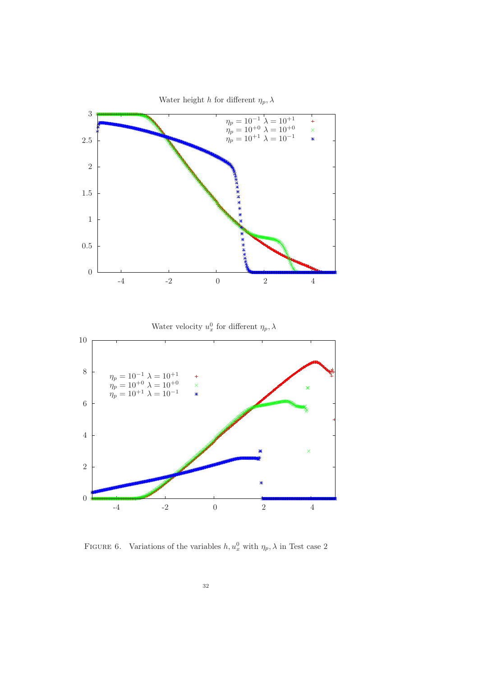

FIGURE 6. Variations of the variables  $h, u_x^0$  with  $\eta_p, \lambda$  in Test case 2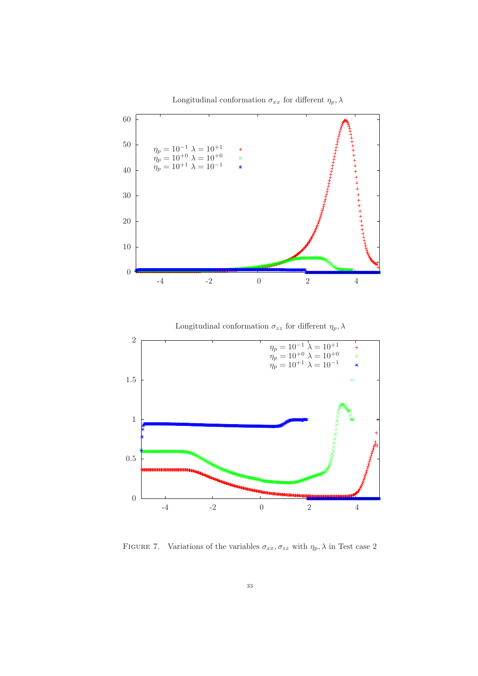

Longitudinal conformation  $\sigma_{xx}$  for different  $\eta_p$ ,  $\lambda$ 





FIGURE 7. Variations of the variables  $\sigma_{xx}, \sigma_{zz}$  with  $\eta_p, \lambda$  in Test case 2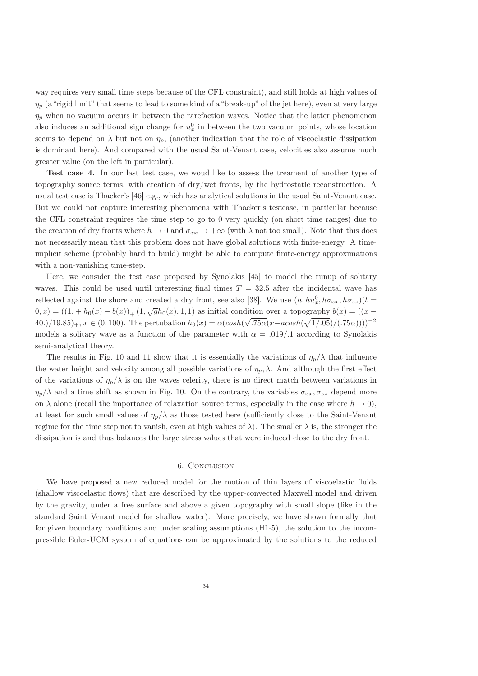way requires very small time steps because of the CFL constraint), and still holds at high values of  $\eta_p$  (a "rigid limit" that seems to lead to some kind of a "break-up" of the jet here), even at very large  $\eta_p$  when no vacuum occurs in between the rarefaction waves. Notice that the latter phenomenon also induces an additional sign change for  $u_x^0$  in between the two vacuum points, whose location seems to depend on  $\lambda$  but not on  $\eta_p$ , (another indication that the role of viscoelastic dissipation is dominant here). And compared with the usual Saint-Venant case, velocities also assume much greater value (on the left in particular).

Test case 4. In our last test case, we woud like to assess the treament of another type of topography source terms, with creation of dry/wet fronts, by the hydrostatic reconstruction. A usual test case is Thacker's [46] e.g., which has analytical solutions in the usual Saint-Venant case. But we could not capture interesting phenomena with Thacker's testcase, in particular because the CFL constraint requires the time step to go to 0 very quickly (on short time ranges) due to the creation of dry fronts where  $h \to 0$  and  $\sigma_{xx} \to +\infty$  (with  $\lambda$  not too small). Note that this does not necessarily mean that this problem does not have global solutions with finite-energy. A timeimplicit scheme (probably hard to build) might be able to compute finite-energy approximations with a non-vanishing time-step.

Here, we consider the test case proposed by Synolakis [45] to model the runup of solitary waves. This could be used until interesting final times  $T = 32.5$  after the incidental wave has reflected against the shore and created a dry front, see also [38]. We use  $(h, hu_x^0, h\sigma_{xx}, h\sigma_{zz})(t=$  $(0, x) = ((1 + h_0(x) - b(x))_{+} (1, \sqrt{g}h_0(x), 1, 1)$  as initial condition over a topography  $b(x) = ((x - b_0(x))_{+} (1, \sqrt{g}h_0(x), 1, 1)$  $40.1/19.85)_{+}$ ,  $x \in (0, 100)$ . The pertubation  $h_0(x) = \alpha(\cosh(\sqrt{.75\alpha}(x - a\cosh(\sqrt{1/.05})/(.75\alpha))))^{-2}$ models a solitary wave as a function of the parameter with  $\alpha = .019/0.1$  according to Synolakis semi-analytical theory.

The results in Fig. 10 and 11 show that it is essentially the variations of  $\eta_p/\lambda$  that influence the water height and velocity among all possible variations of  $\eta_p$ ,  $\lambda$ . And although the first effect of the variations of  $\eta_p/\lambda$  is on the waves celerity, there is no direct match between variations in  $\eta_p/\lambda$  and a time shift as shown in Fig. 10. On the contrary, the variables  $\sigma_{xx}$ ,  $\sigma_{zz}$  depend more on  $\lambda$  alone (recall the importance of relaxation source terms, especially in the case where  $h \to 0$ ), at least for such small values of  $\eta_p/\lambda$  as those tested here (sufficiently close to the Saint-Venant regime for the time step not to vanish, even at high values of  $\lambda$ ). The smaller  $\lambda$  is, the stronger the dissipation is and thus balances the large stress values that were induced close to the dry front.

#### 6. Conclusion

We have proposed a new reduced model for the motion of thin layers of viscoelastic fluids (shallow viscoelastic flows) that are described by the upper-convected Maxwell model and driven by the gravity, under a free surface and above a given topography with small slope (like in the standard Saint Venant model for shallow water). More precisely, we have shown formally that for given boundary conditions and under scaling assumptions (H1-5), the solution to the incompressible Euler-UCM system of equations can be approximated by the solutions to the reduced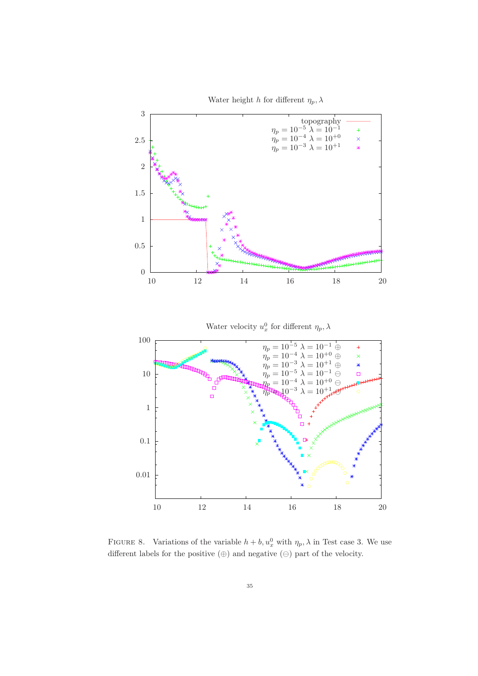

Water height h for different  $\eta_p, \lambda$ 

FIGURE 8. Variations of the variable  $h + b$ ,  $u_x^0$  with  $\eta_p$ ,  $\lambda$  in Test case 3. We use different labels for the positive  $(\oplus)$  and negative  $(\ominus)$  part of the velocity.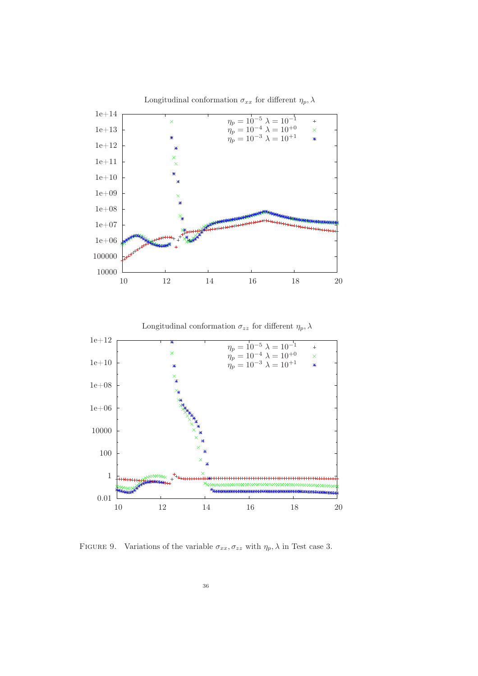

Longitudinal conformation  $\sigma_{xx}$  for different  $\eta_p, \lambda$ 

FIGURE 9. Variations of the variable  $\sigma_{xx}, \sigma_{zz}$  with  $\eta_p, \lambda$  in Test case 3.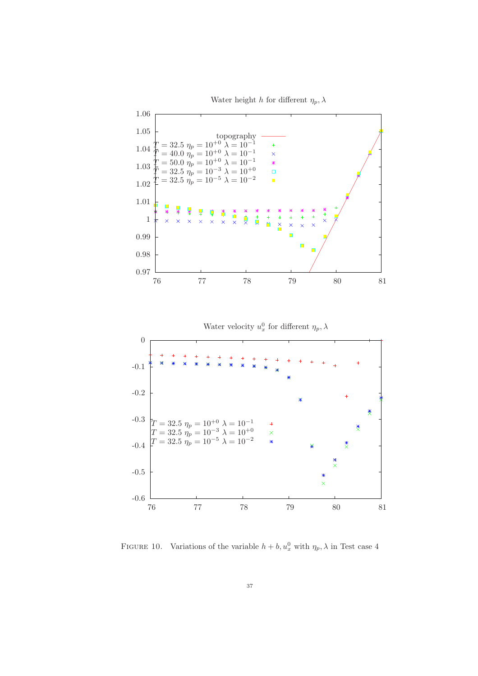Water height h for different  $\eta_p, \lambda$ 



FIGURE 10. Variations of the variable  $h + b$ ,  $u_x^0$  with  $\eta_p$ ,  $\lambda$  in Test case 4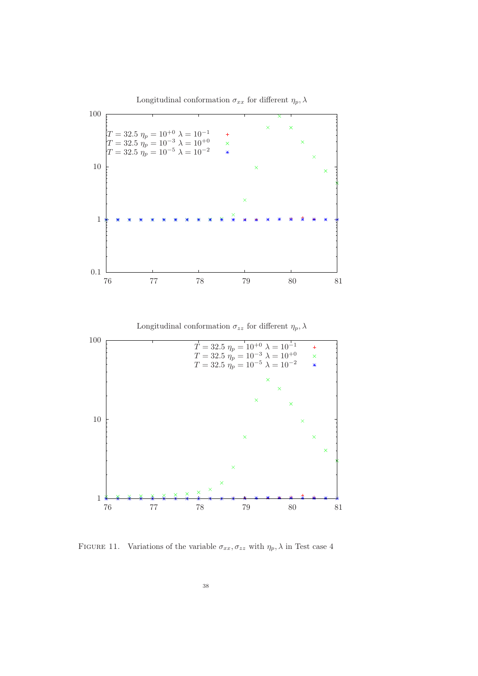Longitudinal conformation  $\sigma_{xx}$  for different  $\eta_p$ ,  $\lambda$ 



FIGURE 11. Variations of the variable  $\sigma_{xx}, \sigma_{zz}$  with  $\eta_p, \lambda$  in Test case 4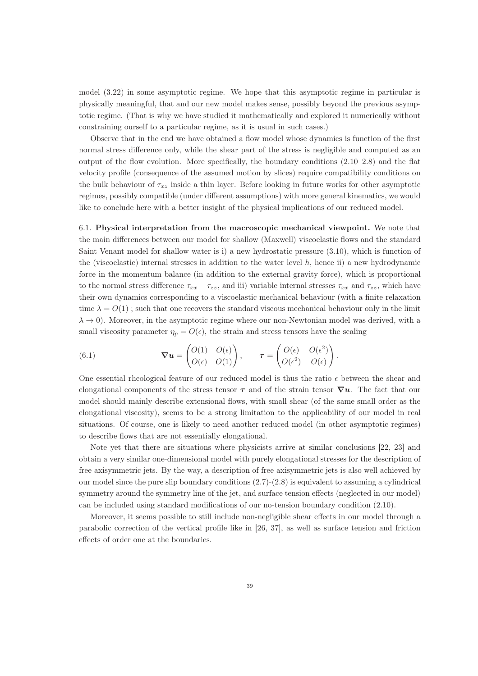model (3.22) in some asymptotic regime. We hope that this asymptotic regime in particular is physically meaningful, that and our new model makes sense, possibly beyond the previous asymptotic regime. (That is why we have studied it mathematically and explored it numerically without constraining ourself to a particular regime, as it is usual in such cases.)

Observe that in the end we have obtained a flow model whose dynamics is function of the first normal stress difference only, while the shear part of the stress is negligible and computed as an output of the flow evolution. More specifically, the boundary conditions (2.10–2.8) and the flat velocity profile (consequence of the assumed motion by slices) require compatibility conditions on the bulk behaviour of  $\tau_{xz}$  inside a thin layer. Before looking in future works for other asymptotic regimes, possibly compatible (under different assumptions) with more general kinematics, we would like to conclude here with a better insight of the physical implications of our reduced model.

6.1. Physical interpretation from the macroscopic mechanical viewpoint. We note that the main differences between our model for shallow (Maxwell) viscoelastic flows and the standard Saint Venant model for shallow water is i) a new hydrostatic pressure (3.10), which is function of the (viscoelastic) internal stresses in addition to the water level  $h$ , hence ii) a new hydrodynamic force in the momentum balance (in addition to the external gravity force), which is proportional to the normal stress difference  $\tau_{xx} - \tau_{zz}$ , and iii) variable internal stresses  $\tau_{xx}$  and  $\tau_{zz}$ , which have their own dynamics corresponding to a viscoelastic mechanical behaviour (with a finite relaxation time  $\lambda = O(1)$ ; such that one recovers the standard viscous mechanical behaviour only in the limit  $\lambda \to 0$ ). Moreover, in the asymptotic regime where our non-Newtonian model was derived, with a small viscosity parameter  $\eta_p = O(\epsilon)$ , the strain and stress tensors have the scaling

(6.1) 
$$
\nabla u = \begin{pmatrix} O(1) & O(\epsilon) \\ O(\epsilon) & O(1) \end{pmatrix}, \qquad \tau = \begin{pmatrix} O(\epsilon) & O(\epsilon^2) \\ O(\epsilon^2) & O(\epsilon) \end{pmatrix}.
$$

One essential rheological feature of our reduced model is thus the ratio  $\epsilon$  between the shear and elongational components of the stress tensor  $\tau$  and of the strain tensor  $\nabla u$ . The fact that our model should mainly describe extensional flows, with small shear (of the same small order as the elongational viscosity), seems to be a strong limitation to the applicability of our model in real situations. Of course, one is likely to need another reduced model (in other asymptotic regimes) to describe flows that are not essentially elongational.

Note yet that there are situations where physicists arrive at similar conclusions [22, 23] and obtain a very similar one-dimensional model with purely elongational stresses for the description of free axisymmetric jets. By the way, a description of free axisymmetric jets is also well achieved by our model since the pure slip boundary conditions  $(2.7)-(2.8)$  is equivalent to assuming a cylindrical symmetry around the symmetry line of the jet, and surface tension effects (neglected in our model) can be included using standard modifications of our no-tension boundary condition (2.10).

Moreover, it seems possible to still include non-negligible shear effects in our model through a parabolic correction of the vertical profile like in [26, 37], as well as surface tension and friction effects of order one at the boundaries.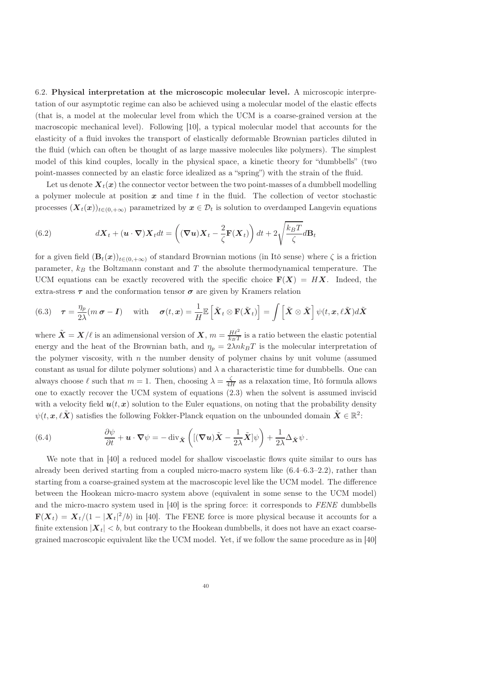6.2. Physical interpretation at the microscopic molecular level. A microscopic interpretation of our asymptotic regime can also be achieved using a molecular model of the elastic effects (that is, a model at the molecular level from which the UCM is a coarse-grained version at the macroscopic mechanical level). Following [10], a typical molecular model that accounts for the elasticity of a fluid invokes the transport of elastically deformable Brownian particles diluted in the fluid (which can often be thought of as large massive molecules like polymers). The simplest model of this kind couples, locally in the physical space, a kinetic theory for "dumbbells" (two point-masses connected by an elastic force idealized as a "spring") with the strain of the fluid.

Let us denote  $X_t(x)$  the connector vector between the two point-masses of a dumbbell modelling a polymer molecule at position  $x$  and time  $t$  in the fluid. The collection of vector stochastic processes  $(X_t(x))_{t\in(0,+\infty)}$  parametrized by  $x\in\mathcal{D}_t$  is solution to overdamped Langevin equations

(6.2) 
$$
d\mathbf{X}_t + (\mathbf{u} \cdot \nabla) \mathbf{X}_t dt = \left( (\nabla \mathbf{u}) \mathbf{X}_t - \frac{2}{\zeta} \mathbf{F}(\mathbf{X}_t) \right) dt + 2 \sqrt{\frac{k_B T}{\zeta}} d\mathbf{B}_t
$$

for a given field  $(\mathbf{B}_t(\boldsymbol{x}))_{t\in(0,+\infty)}$  of standard Brownian motions (in Itô sense) where  $\zeta$  is a friction parameter,  $k_B$  the Boltzmann constant and T the absolute thermodynamical temperature. The UCM equations can be exactly recovered with the specific choice  $F(X) = HX$ . Indeed, the extra-stress  $\tau$  and the conformation tensor  $\sigma$  are given by Kramers relation

(6.3) 
$$
\boldsymbol{\tau} = \frac{\eta_p}{2\lambda}(m \, \boldsymbol{\sigma} - \boldsymbol{I}) \quad \text{with} \quad \boldsymbol{\sigma}(t, \boldsymbol{x}) = \frac{1}{H} \mathbb{E}\left[\tilde{\boldsymbol{X}}_t \otimes \mathbf{F}(\tilde{\boldsymbol{X}}_t)\right] = \int \left[\tilde{\boldsymbol{X}} \otimes \tilde{\boldsymbol{X}}\right] \psi(t, \boldsymbol{x}, \ell \tilde{\boldsymbol{X}}) d\tilde{\boldsymbol{X}}
$$

where  $\tilde{\bm{X}} = \bm{X}/\ell$  is an adimensional version of  $\bm{X}, m = \frac{H\ell^2}{k_B T}$  is a ratio between the elastic potential energy and the heat of the Brownian bath, and  $\eta_p = 2\lambda n k_B T$  is the molecular interpretation of the polymer viscosity, with  $n$  the number density of polymer chains by unit volume (assumed constant as usual for dilute polymer solutions) and  $\lambda$  a characteristic time for dumbbells. One can always choose  $\ell$  such that  $m = 1$ . Then, choosing  $\lambda = \frac{\zeta}{4H}$  as a relaxation time, Itô formula allows one to exactly recover the UCM system of equations (2.3) when the solvent is assumed inviscid with a velocity field  $u(t, x)$  solution to the Euler equations, on noting that the probability density  $\psi(t, x, \ell \tilde{X})$  satisfies the following Fokker-Planck equation on the unbounded domain  $\tilde{X} \in \mathbb{R}^2$ :

(6.4) 
$$
\frac{\partial \psi}{\partial t} + \mathbf{u} \cdot \nabla \psi = -\operatorname{div}_{\tilde{\mathbf{X}}}\left( [(\nabla \mathbf{u}) \tilde{\mathbf{X}} - \frac{1}{2\lambda} \tilde{\mathbf{X}}] \psi \right) + \frac{1}{2\lambda} \Delta_{\tilde{\mathbf{X}}} \psi.
$$

We note that in [40] a reduced model for shallow viscoelastic flows quite similar to ours has already been derived starting from a coupled micro-macro system like (6.4–6.3–2.2), rather than starting from a coarse-grained system at the macroscopic level like the UCM model. The difference between the Hookean micro-macro system above (equivalent in some sense to the UCM model) and the micro-macro system used in [40] is the spring force: it corresponds to FENE dumbbells  $\mathbf{F}(\boldsymbol{X}_t) = \boldsymbol{X}_t/(1 - |\boldsymbol{X}_t|^2/b)$  in [40]. The FENE force is more physical because it accounts for a finite extension  $|\mathbf{X}_t| < b$ , but contrary to the Hookean dumbbells, it does not have an exact coarsegrained macroscopic equivalent like the UCM model. Yet, if we follow the same procedure as in [40]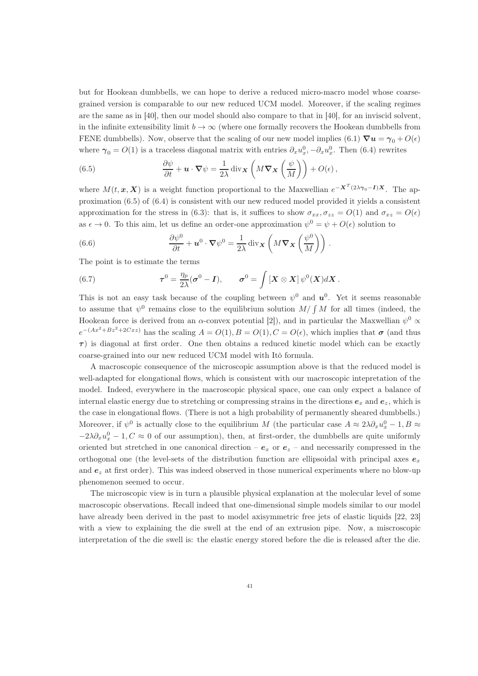but for Hookean dumbbells, we can hope to derive a reduced micro-macro model whose coarsegrained version is comparable to our new reduced UCM model. Moreover, if the scaling regimes are the same as in [40], then our model should also compare to that in [40], for an inviscid solvent, in the infinite extensibility limit  $b \to \infty$  (where one formally recovers the Hookean dumbbells from FENE dumbbells). Now, observe that the scaling of our new model implies  $(6.1) \nabla u = \gamma_0 + O(\epsilon)$ where  $\gamma_0 = O(1)$  is a traceless diagonal matrix with entries  $\partial_x u_x^0$ ,  $-\partial_x u_x^0$ . Then (6.4) rewrites

(6.5) 
$$
\frac{\partial \psi}{\partial t} + \mathbf{u} \cdot \nabla \psi = \frac{1}{2\lambda} \operatorname{div}_{\mathbf{X}} \left( M \nabla_{\mathbf{X}} \left( \frac{\psi}{M} \right) \right) + O(\epsilon),
$$

where  $M(t, x, X)$  is a weight function proportional to the Maxwellian  $e^{-X^{T}(2\lambda\gamma_{0}-I)X}$ . The approximation (6.5) of (6.4) is consistent with our new reduced model provided it yields a consistent approximation for the stress in (6.3): that is, it suffices to show  $\sigma_{xx}, \sigma_{zz} = O(1)$  and  $\sigma_{xz} = O(\epsilon)$ as  $\epsilon \to 0$ . To this aim, let us define an order-one approximation  $\psi^0 = \psi + O(\epsilon)$  solution to

(6.6) 
$$
\frac{\partial \psi^0}{\partial t} + \boldsymbol{u}^0 \cdot \boldsymbol{\nabla} \psi^0 = \frac{1}{2\lambda} \operatorname{div}_{\boldsymbol{X}} \left( M \boldsymbol{\nabla}_{\boldsymbol{X}} \left( \frac{\psi^0}{M} \right) \right) .
$$

The point is to estimate the terms

(6.7) 
$$
\boldsymbol{\tau}^0 = \frac{\eta_p}{2\lambda} (\boldsymbol{\sigma}^0 - \boldsymbol{I}), \qquad \boldsymbol{\sigma}^0 = \int \left[ \boldsymbol{X} \otimes \boldsymbol{X} \right] \psi^0(\boldsymbol{X}) d\boldsymbol{X}.
$$

This is not an easy task because of the coupling between  $\psi^0$  and  $u^0$ . Yet it seems reasonable to assume that  $\psi^0$  remains close to the equilibrium solution  $M/\int M$  for all times (indeed, the Hookean force is derived from an  $\alpha$ -convex potential [2]), and in particular the Maxwellian  $\psi^0 \propto$  $e^{-(Ax^2+Bz^2+2Cxz)}$  has the scaling  $A=O(1), B=O(1), C=O(\epsilon)$ , which implies that  $\sigma$  (and thus  $\tau$ ) is diagonal at first order. One then obtains a reduced kinetic model which can be exactly coarse-grained into our new reduced UCM model with Itô formula.

A macroscopic consequence of the microscopic assumption above is that the reduced model is well-adapted for elongational flows, which is consistent with our macroscopic intepretation of the model. Indeed, everywhere in the macroscopic physical space, one can only expect a balance of internal elastic energy due to stretching or compressing strains in the directions  $e_x$  and  $e_z$ , which is the case in elongational flows. (There is not a high probability of permanently sheared dumbbells.) Moreover, if  $\psi^0$  is actually close to the equilibrium M (the particular case  $A \approx 2\lambda \partial_x u_x^0 - 1, B \approx$  $-2\lambda\partial_x u_x^0 - 1, C \approx 0$  of our assumption), then, at first-order, the dumbbells are quite uniformly oriented but stretched in one canonical direction –  $e_x$  or  $e_z$  – and necessarily compressed in the orthogonal one (the level-sets of the distribution function are ellipsoidal with principal axes  $e_x$ and  $e_z$  at first order). This was indeed observed in those numerical experiments where no blow-up phenomenon seemed to occur.

The microscopic view is in turn a plausible physical explanation at the molecular level of some macroscopic observations. Recall indeed that one-dimensional simple models similar to our model have already been derived in the past to model axisymmetric free jets of elastic liquids [22, 23] with a view to explaining the die swell at the end of an extrusion pipe. Now, a miscroscopic interpretation of the die swell is: the elastic energy stored before the die is released after the die.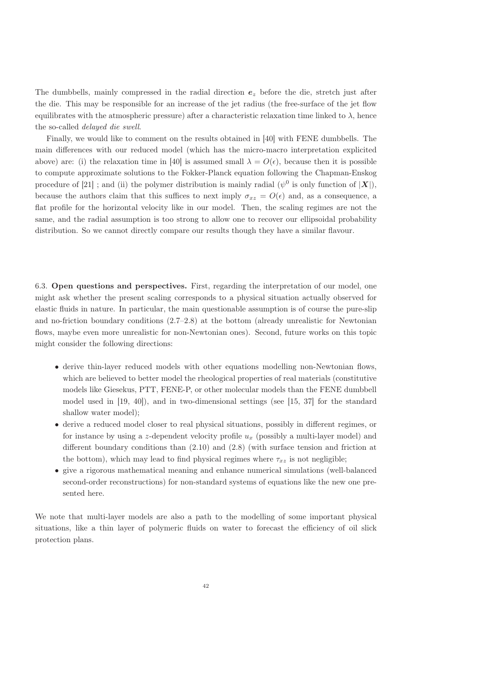The dumbbells, mainly compressed in the radial direction  $e<sub>z</sub>$  before the die, stretch just after the die. This may be responsible for an increase of the jet radius (the free-surface of the jet flow equilibrates with the atmospheric pressure) after a characteristic relaxation time linked to  $\lambda$ , hence the so-called delayed die swell.

Finally, we would like to comment on the results obtained in [40] with FENE dumbbells. The main differences with our reduced model (which has the micro-macro interpretation explicited above) are: (i) the relaxation time in [40] is assumed small  $\lambda = O(\epsilon)$ , because then it is possible to compute approximate solutions to the Fokker-Planck equation following the Chapman-Enskog procedure of [21] ; and (ii) the polymer distribution is mainly radial ( $\psi^0$  is only function of  $|\boldsymbol{X}|$ ), because the authors claim that this suffices to next imply  $\sigma_{xz} = O(\epsilon)$  and, as a consequence, a flat profile for the horizontal velocity like in our model. Then, the scaling regimes are not the same, and the radial assumption is too strong to allow one to recover our ellipsoidal probability distribution. So we cannot directly compare our results though they have a similar flavour.

6.3. Open questions and perspectives. First, regarding the interpretation of our model, one might ask whether the present scaling corresponds to a physical situation actually observed for elastic fluids in nature. In particular, the main questionable assumption is of course the pure-slip and no-friction boundary conditions (2.7–2.8) at the bottom (already unrealistic for Newtonian flows, maybe even more unrealistic for non-Newtonian ones). Second, future works on this topic might consider the following directions:

- derive thin-layer reduced models with other equations modelling non-Newtonian flows, which are believed to better model the rheological properties of real materials (constitutive models like Giesekus, PTT, FENE-P, or other molecular models than the FENE dumbbell model used in [19, 40]), and in two-dimensional settings (see [15, 37] for the standard shallow water model);
- derive a reduced model closer to real physical situations, possibly in different regimes, or for instance by using a z-dependent velocity profile  $u_x$  (possibly a multi-layer model) and different boundary conditions than (2.10) and (2.8) (with surface tension and friction at the bottom), which may lead to find physical regimes where  $\tau_{xz}$  is not negligible;
- give a rigorous mathematical meaning and enhance numerical simulations (well-balanced second-order reconstructions) for non-standard systems of equations like the new one presented here.

We note that multi-layer models are also a path to the modelling of some important physical situations, like a thin layer of polymeric fluids on water to forecast the efficiency of oil slick protection plans.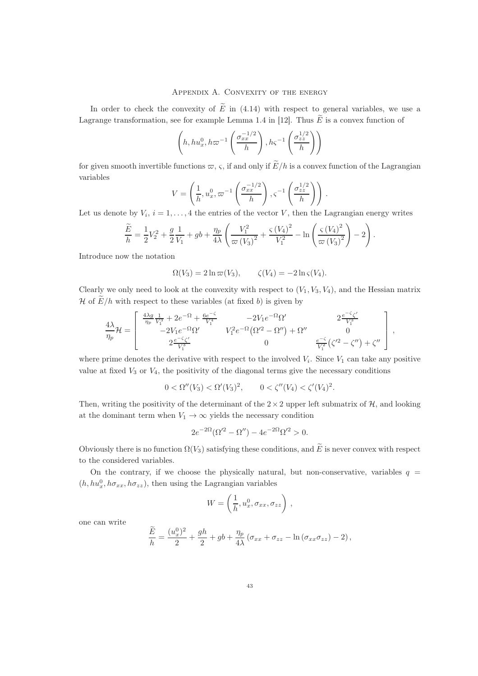#### APPENDIX A. CONVEXITY OF THE ENERGY

In order to check the convexity of  $\tilde{E}$  in (4.14) with respect to general variables, we use a Lagrange transformation, see for example Lemma 1.4 in [12]. Thus  $\widetilde{E}$  is a convex function of

$$
\left(h, hu_x^0, h\varpi^{-1}\left(\frac{\sigma_{xx}^{-1/2}}{h}\right), h\varsigma^{-1}\left(\frac{\sigma_{zz}^{1/2}}{h}\right)\right)
$$

for given smooth invertible functions  $\varpi$ ,  $\varsigma$ , if and only if  $E/h$  is a convex function of the Lagrangian variables

$$
V = \left(\frac{1}{h}, u_x^0, \varpi^{-1}\left(\frac{\sigma_{xx}^{-1/2}}{h}\right), \varsigma^{-1}\left(\frac{\sigma_{zz}^{1/2}}{h}\right)\right)
$$

.

Let us denote by  $V_i$ ,  $i = 1, ..., 4$  the entries of the vector V, then the Lagrangian energy writes

$$
\frac{\widetilde{E}}{h} = \frac{1}{2}V_2^2 + \frac{g}{2}\frac{1}{V_1} + gb + \frac{\eta_p}{4\lambda} \left(\frac{V_1^2}{\varpi (V_3)^2} + \frac{\varsigma (V_4)^2}{V_1^2} - \ln\left(\frac{\varsigma (V_4)^2}{\varpi (V_3)^2}\right) - 2\right).
$$

Introduce now the notation

$$
\Omega(V_3) = 2 \ln \varpi(V_3), \qquad \zeta(V_4) = -2 \ln \zeta(V_4).
$$

Clearly we only need to look at the convexity with respect to  $(V_1, V_3, V_4)$ , and the Hessian matrix H of  $E/h$  with respect to these variables (at fixed b) is given by

$$
\frac{4\lambda}{\eta_p} \mathcal{H} = \begin{bmatrix} \frac{4\lambda g}{\eta_p} \frac{1}{V_1^3} + 2e^{-\Omega} + \frac{6e^{-\zeta}}{V_1^4} & -2V_1 e^{-\Omega} \Omega' & 2 \frac{e^{-\zeta} \zeta'}{V_1^3} \\ -2V_1 e^{-\Omega} \Omega' & V_1^2 e^{-\Omega} (\Omega'^2 - \Omega'') + \Omega'' & 0 \\ 2 \frac{e^{-\zeta} \zeta'}{V_1^3} & 0 & \frac{e^{-\zeta}}{V_1^2} (\zeta'^2 - \zeta'') + \zeta'' \end{bmatrix},
$$

where prime denotes the derivative with respect to the involved  $V_i$ . Since  $V_1$  can take any positive value at fixed  $V_3$  or  $V_4$ , the positivity of the diagonal terms give the necessary conditions

$$
0 < \Omega''(V_3) < \Omega'(V_3)^2, \qquad 0 < \zeta''(V_4) < \zeta'(V_4)^2.
$$

Then, writing the positivity of the determinant of the  $2 \times 2$  upper left submatrix of  $H$ , and looking at the dominant term when  $V_1 \rightarrow \infty$  yields the necessary condition

$$
2e^{-2\Omega}(\Omega^2 - \Omega'') - 4e^{-2\Omega}\Omega^2 > 0.
$$

Obviously there is no function  $\Omega(V_3)$  satisfying these conditions, and  $\widetilde{E}$  is never convex with respect to the considered variables.

On the contrary, if we choose the physically natural, but non-conservative, variables  $q =$  $(h, hu_x^0, h\sigma_{xx}, h\sigma_{zz}),$  then using the Lagrangian variables

$$
W = \left(\frac{1}{h}, u_x^0, \sigma_{xx}, \sigma_{zz}\right),
$$

one can write

$$
\frac{\widetilde{E}}{h} = \frac{(u_x^0)^2}{2} + \frac{gh}{2} + gb + \frac{\eta_p}{4\lambda} (\sigma_{xx} + \sigma_{zz} - \ln(\sigma_{xx}\sigma_{zz}) - 2),
$$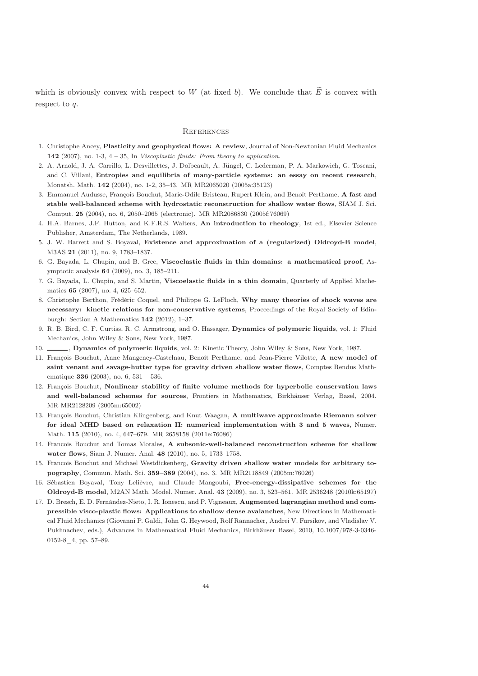which is obviously convex with respect to W (at fixed b). We conclude that  $\tilde{E}$  is convex with respect to q.

#### **REFERENCES**

- 1. Christophe Ancey, Plasticity and geophysical flows: A review, Journal of Non-Newtonian Fluid Mechanics 142 (2007), no. 1-3, 4 – 35, In *Viscoplastic fluids: From theory to application.*
- 2. A. Arnold, J. A. Carrillo, L. Desvillettes, J. Dolbeault, A. Jüngel, C. Lederman, P. A. Markowich, G. Toscani, and C. Villani, Entropies and equilibria of many-particle systems: an essay on recent research, Monatsh. Math. 142 (2004), no. 1-2, 35–43. MR MR2065020 (2005a:35123)
- 3. Emmanuel Audusse, François Bouchut, Marie-Odile Bristeau, Rupert Klein, and Benoît Perthame, A fast and stable well-balanced scheme with hydrostatic reconstruction for shallow water flows, SIAM J. Sci. Comput. 25 (2004), no. 6, 2050–2065 (electronic). MR MR2086830 (2005f:76069)
- 4. H.A. Barnes, J.F. Hutton, and K.F.R.S. Walters, An introduction to rheology, 1st ed., Elsevier Science Publisher, Amsterdam, The Netherlands, 1989.
- 5. J. W. Barrett and S. Boyaval, Existence and approximation of a (regularized) Oldroyd-B model, M3AS 21 (2011), no. 9, 1783–1837.
- 6. G. Bayada, L. Chupin, and B. Grec, Viscoelastic fluids in thin domains: a mathematical proof, Asymptotic analysis 64 (2009), no. 3, 185–211.
- 7. G. Bayada, L. Chupin, and S. Martin, Viscoelastic fluids in a thin domain, Quarterly of Applied Mathematics 65 (2007), no. 4, 625–652.
- 8. Christophe Berthon, Frédéric Coquel, and Philippe G. LeFloch, Why many theories of shock waves are necessary: kinetic relations for non-conservative systems, Proceedings of the Royal Society of Edinburgh: Section A Mathematics 142 (2012), 1–37.
- 9. R. B. Bird, C. F. Curtiss, R. C. Armstrong, and O. Hassager, Dynamics of polymeric liquids, vol. 1: Fluid Mechanics, John Wiley & Sons, New York, 1987.
- 10. , Dynamics of polymeric liquids, vol. 2: Kinetic Theory, John Wiley & Sons, New York, 1987.
- 11. François Bouchut, Anne Mangeney-Castelnau, Benoît Perthame, and Jean-Pierre Vilotte, A new model of saint venant and savage-hutter type for gravity driven shallow water flows, Comptes Rendus Mathematique 336 (2003), no. 6, 531 – 536.
- 12. François Bouchut, Nonlinear stability of finite volume methods for hyperbolic conservation laws and well-balanced schemes for sources, Frontiers in Mathematics, Birkhäuser Verlag, Basel, 2004. MR MR2128209 (2005m:65002)
- 13. François Bouchut, Christian Klingenberg, and Knut Waagan, A multiwave approximate Riemann solver for ideal MHD based on relaxation II: numerical implementation with 3 and 5 waves, Numer. Math. 115 (2010), no. 4, 647–679. MR 2658158 (2011e:76086)
- 14. Francois Bouchut and Tomas Morales, A subsonic-well-balanced reconstruction scheme for shallow water flows, Siam J. Numer. Anal. 48 (2010), no. 5, 1733–1758.
- 15. Francois Bouchut and Michael Westdickenberg, Gravity driven shallow water models for arbitrary topography, Commun. Math. Sci. 359–389 (2004), no. 3. MR MR2118849 (2005m:76026)
- 16. Sébastien Boyaval, Tony Lelièvre, and Claude Mangoubi, Free-energy-dissipative schemes for the Oldroyd-B model, M2AN Math. Model. Numer. Anal. 43 (2009), no. 3, 523–561. MR 2536248 (2010k:65197)
- 17. D. Bresch, E. D. Fernàndez-Nieto, I. R. Ionescu, and P. Vigneaux, Augmented lagrangian method and compressible visco-plastic flows: Applications to shallow dense avalanches, New Directions in Mathematical Fluid Mechanics (Giovanni P. Galdi, John G. Heywood, Rolf Rannacher, Andrei V. Fursikov, and Vladislav V. Pukhnachev, eds.), Advances in Mathematical Fluid Mechanics, Birkhäuser Basel, 2010, 10.1007/978-3-0346- 0152-8\_4, pp. 57–89.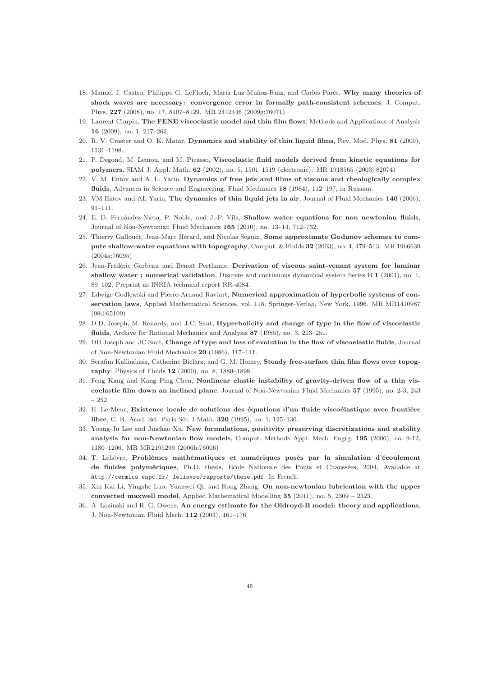- 18. Manuel J. Castro, Philippe G. LeFloch, María Luz Muñoz-Ruiz, and Carlos Parés, Why many theories of shock waves are necessary: convergence error in formally path-consistent schemes, J. Comput. Phys. 227 (2008), no. 17, 8107–8129. MR 2442446 (2009g:76071)
- 19. Laurent Chupin, The FENE viscoelastic model and thin film flows, Methods and Applications of Analysis 16 (2009), no. 1, 217–262.
- 20. R. V. Craster and O. K. Matar, Dynamics and stability of thin liquid films, Rev. Mod. Phys. 81 (2009), 1131–1198.
- 21. P. Degond, M. Lemou, and M. Picasso, Viscoelastic fluid models derived from kinetic equations for polymers, SIAM J. Appl. Math. 62 (2002), no. 5, 1501–1519 (electronic). MR 1918565 (2003j:82074)
- 22. V. M. Entov and A. L. Yarin, Dynamics of free jets and films of viscous and rheologically complex fluids, Advances in Science and Engineering. Fluid Mechanics 18 (1984), 112–197, in Russian.
- 23. VM Entov and AL Yarin, The dynamics of thin liquid jets in air, Journal of Fluid Mechanics 140 (2006), 91–111.
- 24. E. D. Fernández-Nieto, P. Noble, and J.-P. Vila, Shallow water equations for non newtonian fluids, Journal of Non-Newtonian Fluid Mechanics 165 (2010), no. 13–14, 712–732.
- 25. Thierry Gallouët, Jean-Marc Hérard, and Nicolas Seguin, Some approximate Godunov schemes to compute shallow-water equations with topography, Comput. & Fluids 32 (2003), no. 4, 479–513. MR 1966639 (2004a:76095)
- 26. Jean-Frédéric Gerbeau and Benoît Perthame, Derivation of viscous saint-venant system for laminar shallow water; numerical validation, Discrete and continuous dynamical system Series B 1 (2001), no. 1, 89–102, Preprint as INRIA technical report RR-4084.
- 27. Edwige Godlewski and Pierre-Arnaud Raviart, Numerical approximation of hyperbolic systems of conservation laws, Applied Mathematical Sciences, vol. 118, Springer-Verlag, New York, 1996. MR MR1410987 (98d:65109)
- 28. D.D. Joseph, M. Renardy, and J.C. Saut, Hyperbolicity and change of type in the flow of viscoelastic fluids, Archive for Rational Mechanics and Analysis 87 (1985), no. 3, 213–251.
- 29. DD Joseph and JC Saut, Change of type and loss of evolution in the flow of viscoelastic fluids, Journal of Non-Newtonian Fluid Mechanics 20 (1986), 117–141.
- 30. Serafim Kalliadasis, Catherine Bielarz, and G. M. Homsy, Steady free-surface thin film flows over topography, Physics of Fluids 12 (2000), no. 8, 1889–1898.
- 31. Feng Kang and Kang Ping Chen, Nonlinear elastic instability of gravity-driven flow of a thin viscoelastic film down an inclined plane, Journal of Non-Newtonian Fluid Mechanics 57 (1995), no. 2-3, 243 – 252.
- 32. H. Le Meur, Existence locale de solutions des équations d'un fluide viscoélastique avec frontière libre, C. R. Acad. Sci. Paris Sér. I Math. 320 (1995), no. 1, 125–130.
- 33. Young-Ju Lee and Jinchao Xu, New formulations, positivity preserving discretizations and stability analysis for non-Newtonian flow models, Comput. Methods Appl. Mech. Engrg. 195 (2006), no. 9-12, 1180–1206. MR MR2195299 (2006h:76006)
- 34. T. Lelièvre, Problèmes mathématiques et numériques posés par la simulation d'écoulement de fluides polymériques, Ph.D. thesis, Ecole Nationale des Ponts et Chaussées, 2004, Available at http://cermics.enpc.fr/ lelievre/rapports/these.pdf. In French.
- 35. Xin Kai Li, Yingshe Luo, Yuanwei Qi, and Rong Zhang, On non-newtonian lubrication with the upper convected maxwell model, Applied Mathematical Modelling 35 (2011), no. 5, 2309 – 2323.
- 36. A. Lozinski and R. G. Owens, An energy estimate for the Oldroyd-B model: theory and applications, J. Non-Newtonian Fluid Mech. 112 (2003), 161–176.